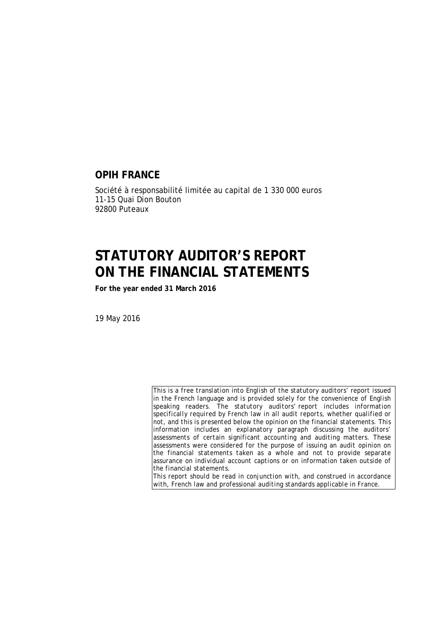#### **OPIH FRANCE**

Société à responsabilité limitée au capital de 1 330 000 euros 11-15 Quai Dion Bouton 92800 Puteaux

### **STATUTORY AUDITOR'S REPORT ON THE FINANCIAL STATEMENTS**

**For the year ended 31 March 2016** 

19 May 2016

*This is a free translation into English of the statutory auditors' report issued in the French language and is provided solely for the convenience of English speaking readers. The statutory auditors' report includes information specifically required by French law in all audit reports, whether qualified or not, and this is presented below the opinion on the financial statements. This information includes an explanatory paragraph discussing the auditors' assessments of certain significant accounting and auditing matters. These assessments were considered for the purpose of issuing an audit opinion on the financial statements taken as a whole and not to provide separate assurance on individual account captions or on information taken outside of the financial statements.* 

*This report should be read in conjunction with, and construed in accordance with, French law and professional auditing standards applicable in France.*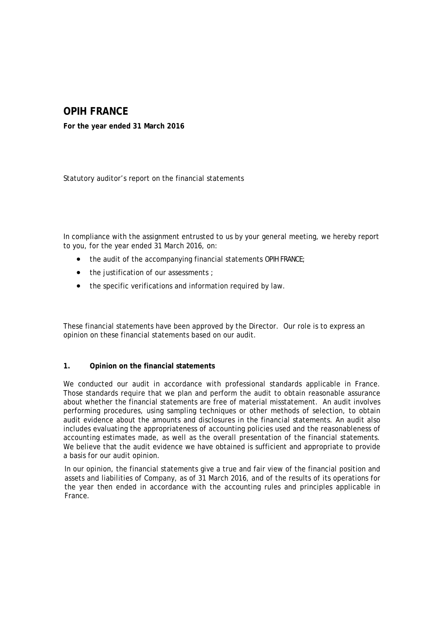### **OPIH FRANCE**

**For the year ended 31 March 2016** 

Statutory auditor's report on the financial statements

In compliance with the assignment entrusted to us by your general meeting, we hereby report to you, for the year ended 31 March 2016, on:

- the audit of the accompanying financial statements OPIH FRANCE;
- the justification of our assessments ;
- the specific verifications and information required by law.

These financial statements have been approved by the Director. Our role is to express an opinion on these financial statements based on our audit.

#### **1. Opinion on the financial statements**

We conducted our audit in accordance with professional standards applicable in France. Those standards require that we plan and perform the audit to obtain reasonable assurance about whether the financial statements are free of material misstatement. An audit involves performing procedures, using sampling techniques or other methods of selection, to obtain audit evidence about the amounts and disclosures in the financial statements. An audit also includes evaluating the appropriateness of accounting policies used and the reasonableness of accounting estimates made, as well as the overall presentation of the financial statements. We believe that the audit evidence we have obtained is sufficient and appropriate to provide a basis for our audit opinion.

In our opinion, the financial statements give a true and fair view of the financial position and assets and liabilities of Company, as of 31 March 2016, and of the results of its operations for the year then ended in accordance with the accounting rules and principles applicable in France.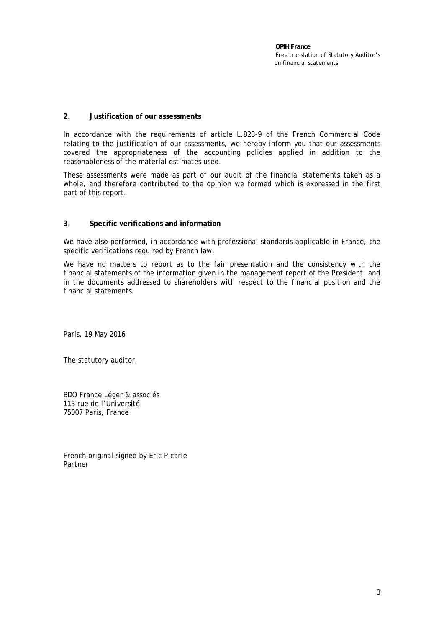*OPIH France Free translation of Statutory Auditor's on financial statements* 

#### **2. Justification of our assessments**

In accordance with the requirements of article L.823-9 of the French Commercial Code relating to the justification of our assessments, we hereby inform you that our assessments covered the appropriateness of the accounting policies applied in addition to the reasonableness of the material estimates used.

These assessments were made as part of our audit of the financial statements taken as a whole, and therefore contributed to the opinion we formed which is expressed in the first part of this report.

#### **3. Specific verifications and information**

We have also performed, in accordance with professional standards applicable in France, the specific verifications required by French law.

We have no matters to report as to the fair presentation and the consistency with the financial statements of the information given in the management report of the President, and in the documents addressed to shareholders with respect to the financial position and the financial statements.

Paris, 19 May 2016

The statutory auditor,

BDO France Léger & associés 113 rue de l'Université 75007 Paris, France

French original signed by Eric Picarle *Partner*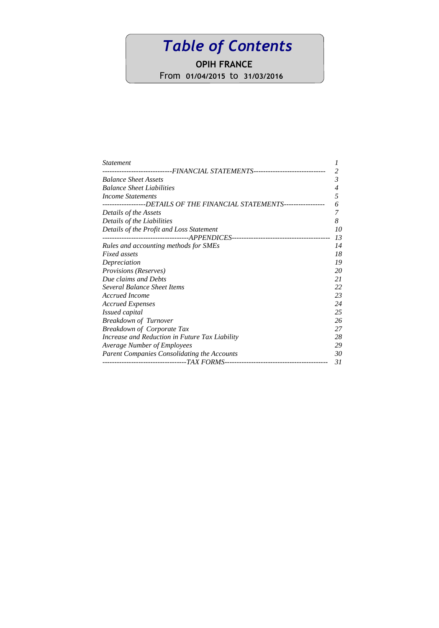# *Table of Contents*

**OPIH FRANCE**

From **01/04/2015** to **31/03/2016**

| <i>Statement</i>                                                                             |    |
|----------------------------------------------------------------------------------------------|----|
| -------------------------FINANCIAL                    STATEMENTS---------------------------- | 2  |
| <b>Balance Sheet Assets</b>                                                                  | 3  |
| <b>Balance Sheet Liabilities</b>                                                             | 4  |
| Income Statements                                                                            | 5  |
| -----------------DETAILS OF THE FINANCIAL STATEMENTS-----------------                        | 6  |
| Details of the Assets                                                                        | 7  |
| Details of the Liabilities                                                                   | 8  |
| Details of the Profit and Loss Statement                                                     | 10 |
|                                                                                              | 13 |
| Rules and accounting methods for SMEs                                                        | 14 |
| <b>Fixed assets</b>                                                                          | 18 |
| Depreciation                                                                                 | 19 |
| Provisions (Reserves)                                                                        | 20 |
| Due claims and Debts                                                                         | 21 |
| Several Balance Sheet Items                                                                  | 22 |
| Accrued Income                                                                               | 23 |
| <b>Accrued Expenses</b>                                                                      | 24 |
| Issued capital                                                                               | 25 |
| <b>Breakdown of Turnover</b>                                                                 | 26 |
| <b>Breakdown of Corporate Tax</b>                                                            | 27 |
| Increase and Reduction in Future Tax Liability                                               | 28 |
| Average Number of Employees                                                                  | 29 |
| Parent Companies Consolidating the Accounts                                                  | 30 |
|                                                                                              | 31 |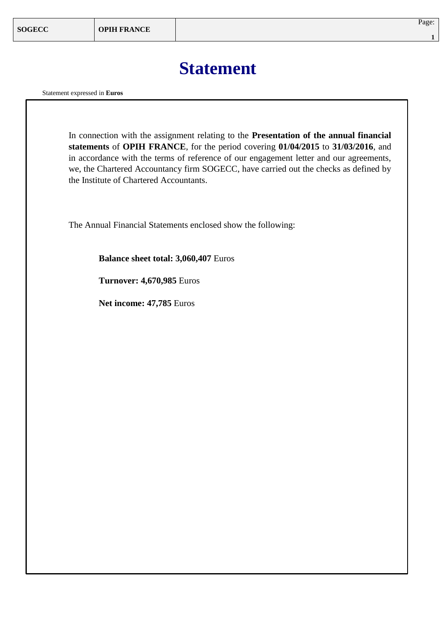## **Statement**

Statement expressed in **Euros**

In connection with the assignment relating to the **Presentation of the annual financial statements** of **OPIH FRANCE**, for the period covering **01/04/2015** to **31/03/2016**, and in accordance with the terms of reference of our engagement letter and our agreements, we, the Chartered Accountancy firm SOGECC, have carried out the checks as defined by the Institute of Chartered Accountants.

The Annual Financial Statements enclosed show the following:

**Balance sheet total: 3,060,407** Euros

**Turnover: 4,670,985** Euros

**Net income: 47,785** Euros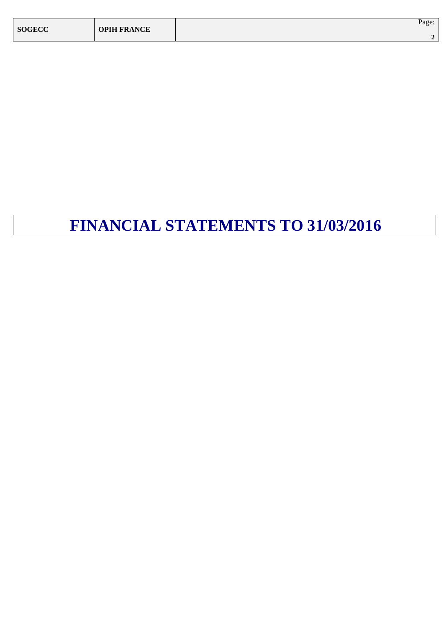| <b>SOGECC</b> | <b>OPIH FRANCE</b> | Page: |
|---------------|--------------------|-------|
|               |                    |       |

# **FINANCIAL STATEMENTS TO 31/03/2016**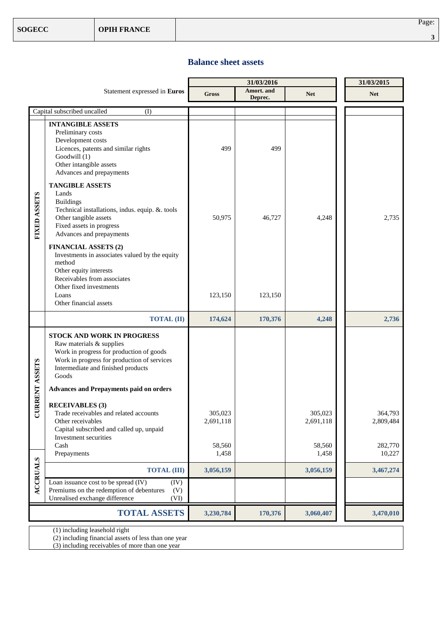#### **Balance sheet assets**

|                     |                                                                                                                                                                                                                       |                      | 31/03/2015            |                      |                      |
|---------------------|-----------------------------------------------------------------------------------------------------------------------------------------------------------------------------------------------------------------------|----------------------|-----------------------|----------------------|----------------------|
|                     | Statement expressed in Euros                                                                                                                                                                                          | Gross                | Amort. and<br>Deprec. | <b>Net</b>           | <b>Net</b>           |
|                     | Capital subscribed uncalled<br>(I)                                                                                                                                                                                    |                      |                       |                      |                      |
|                     | <b>INTANGIBLE ASSETS</b><br>Preliminary costs<br>Development costs<br>Licences, patents and similar rights<br>Goodwill (1)<br>Other intangible assets<br>Advances and prepayments                                     | 499                  | 499                   |                      |                      |
| FIXED ASSETS        | <b>TANGIBLE ASSETS</b><br>Lands<br><b>Buildings</b><br>Technical installations, indus. equip. & tools<br>Other tangible assets<br>Fixed assets in progress<br>Advances and prepayments<br><b>FINANCIAL ASSETS (2)</b> | 50,975               | 46,727                | 4,248                | 2,735                |
|                     | Investments in associates valued by the equity<br>method<br>Other equity interests<br>Receivables from associates<br>Other fixed investments<br>Loans<br>Other financial assets                                       | 123,150              | 123,150               |                      |                      |
|                     | <b>TOTAL (II)</b>                                                                                                                                                                                                     | 174,624              | 170,376               | 4,248                | 2,736                |
| <b>RRENT ASSETS</b> | <b>STOCK AND WORK IN PROGRESS</b><br>Raw materials & supplies<br>Work in progress for production of goods<br>Work in progress for production of services<br>Intermediate and finished products<br>Goods               |                      |                       |                      |                      |
|                     | <b>Advances and Prepayments paid on orders</b>                                                                                                                                                                        |                      |                       |                      |                      |
| ರ                   | <b>RECEIVABLES</b> (3)<br>Trade receivables and related accounts<br>Other receivables<br>Capital subscribed and called up, unpaid<br>Investment securities                                                            | 305,023<br>2,691,118 |                       | 305,023<br>2,691,118 | 364,793<br>2,809,484 |
|                     | Cash<br>Prepayments                                                                                                                                                                                                   | 58,560<br>1,458      |                       | 58,560<br>1,458      | 282,770<br>10,227    |
|                     | <b>TOTAL (III)</b>                                                                                                                                                                                                    | 3,056,159            |                       | 3,056,159            | 3,467,274            |
| <b>ACCRUALS</b>     | Loan issuance cost to be spread (IV)<br>(IV)<br>Premiums on the redemption of debentures<br>(V)<br>Unrealised exchange difference<br>(VI)                                                                             |                      |                       |                      |                      |
|                     | <b>TOTAL ASSETS</b>                                                                                                                                                                                                   | 3,230,784            | 170,376               | 3,060,407            | 3,470,010            |

(1) including leasehold right

(2) including financial assets of less than one year

(3) including receivables of more than one year

Page: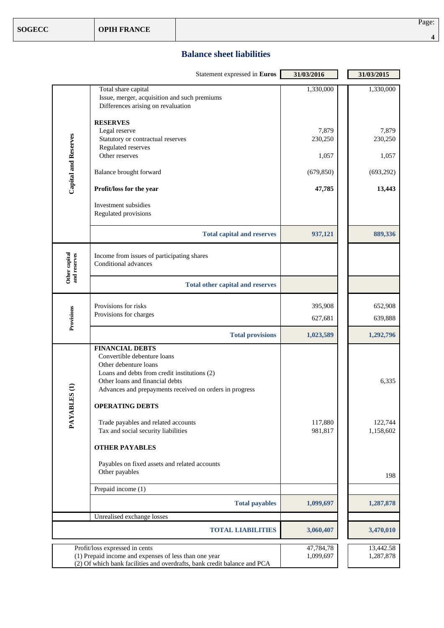#### **Balance sheet liabilities**

|                                    | Statement expressed in Euros                                                                                                                                                                                                                                                                                                                                  | 31/03/2016                              | 31/03/2015                              |
|------------------------------------|---------------------------------------------------------------------------------------------------------------------------------------------------------------------------------------------------------------------------------------------------------------------------------------------------------------------------------------------------------------|-----------------------------------------|-----------------------------------------|
|                                    | Total share capital<br>Issue, merger, acquisition and such premiums<br>Differences arising on revaluation                                                                                                                                                                                                                                                     | 1,330,000                               | 1,330,000                               |
| Capital and Reserves               | <b>RESERVES</b><br>Legal reserve<br>Statutory or contractual reserves<br>Regulated reserves<br>Other reserves<br>Balance brought forward                                                                                                                                                                                                                      | 7,879<br>230,250<br>1,057<br>(679, 850) | 7,879<br>230,250<br>1,057<br>(693, 292) |
|                                    | Profit/loss for the year<br>Investment subsidies<br>Regulated provisions                                                                                                                                                                                                                                                                                      | 47,785                                  | 13,443                                  |
|                                    | <b>Total capital and reserves</b>                                                                                                                                                                                                                                                                                                                             | 937,121                                 | 889,336                                 |
| Other capital<br>and reserves      | Income from issues of participating shares<br>Conditional advances                                                                                                                                                                                                                                                                                            |                                         |                                         |
|                                    | <b>Total other capital and reserves</b>                                                                                                                                                                                                                                                                                                                       |                                         |                                         |
| Provisions                         | Provisions for risks<br>Provisions for charges                                                                                                                                                                                                                                                                                                                | 395,908<br>627,681                      | 652,908<br>639,888                      |
|                                    | <b>Total provisions</b>                                                                                                                                                                                                                                                                                                                                       | 1,023,589                               | 1,292,796                               |
| ES <sub>(1)</sub><br><b>PAYABL</b> | <b>FINANCIAL DEBTS</b><br>Convertible debenture loans<br>Other debenture loans<br>Loans and debts from credit institutions (2)<br>Other loans and financial debts<br>Advances and prepayments received on orders in progress<br><b>OPERATING DEBTS</b><br>Trade payables and related accounts<br>Tax and social security liabilities<br><b>OTHER PAYABLES</b> | 117,880<br>981,817                      | 6,335<br>122,744<br>1,158,602           |
|                                    | Payables on fixed assets and related accounts<br>Other payables                                                                                                                                                                                                                                                                                               |                                         | 198                                     |
|                                    | Prepaid income (1)                                                                                                                                                                                                                                                                                                                                            |                                         |                                         |
|                                    | <b>Total payables</b>                                                                                                                                                                                                                                                                                                                                         | 1,099,697                               | 1,287,878                               |
|                                    | Unrealised exchange losses<br><b>TOTAL LIABILITIES</b>                                                                                                                                                                                                                                                                                                        | 3,060,407                               | 3,470,010                               |
|                                    | Profit/loss expressed in cents<br>(1) Prepaid income and expenses of less than one year<br>(2) Of which bank facilities and overdrafts, bank credit balance and PCA                                                                                                                                                                                           | 47,784,78<br>1,099,697                  | 13,442.58<br>1,287,878                  |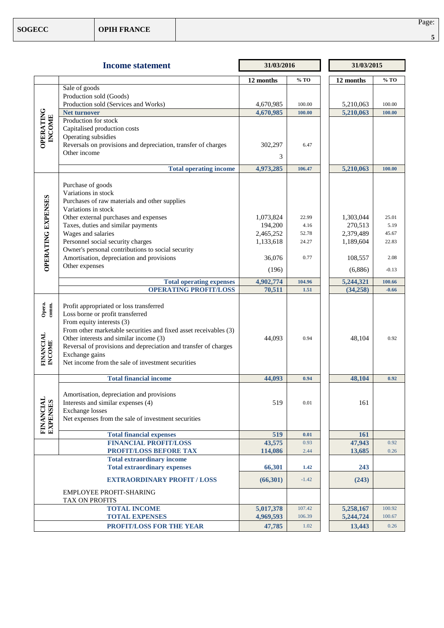|                                        | <b>Income statement</b>                                                                                                                                                                                                                                                                                                                                          | 31/03/2016 |          | 31/03/2015 |         |  |
|----------------------------------------|------------------------------------------------------------------------------------------------------------------------------------------------------------------------------------------------------------------------------------------------------------------------------------------------------------------------------------------------------------------|------------|----------|------------|---------|--|
|                                        |                                                                                                                                                                                                                                                                                                                                                                  | 12 months  | % TO     | 12 months  | % TO    |  |
|                                        | Sale of goods                                                                                                                                                                                                                                                                                                                                                    |            |          |            |         |  |
|                                        | Production sold (Goods)                                                                                                                                                                                                                                                                                                                                          |            |          |            |         |  |
|                                        | Production sold (Services and Works)                                                                                                                                                                                                                                                                                                                             | 4,670,985  | 100.00   | 5,210,063  | 100.00  |  |
| <b>OPERATING</b>                       | <b>Net turnover</b>                                                                                                                                                                                                                                                                                                                                              | 4,670,985  | 100.00   | 5,210,063  | 100.00  |  |
|                                        | Production for stock                                                                                                                                                                                                                                                                                                                                             |            |          |            |         |  |
| <b>INCOME</b>                          | Capitalised production costs                                                                                                                                                                                                                                                                                                                                     |            |          |            |         |  |
|                                        | Operating subsidies<br>Reversals on provisions and depreciation, transfer of charges                                                                                                                                                                                                                                                                             |            | 6.47     |            |         |  |
|                                        | Other income                                                                                                                                                                                                                                                                                                                                                     | 302,297    |          |            |         |  |
|                                        |                                                                                                                                                                                                                                                                                                                                                                  | 3          |          |            |         |  |
|                                        | <b>Total operating income</b>                                                                                                                                                                                                                                                                                                                                    | 4,973,285  | 106.47   | 5,210,063  | 100.00  |  |
|                                        |                                                                                                                                                                                                                                                                                                                                                                  |            |          |            |         |  |
|                                        | Purchase of goods<br>Variations in stock                                                                                                                                                                                                                                                                                                                         |            |          |            |         |  |
|                                        | Purchases of raw materials and other supplies                                                                                                                                                                                                                                                                                                                    |            |          |            |         |  |
|                                        | Variations in stock                                                                                                                                                                                                                                                                                                                                              |            |          |            |         |  |
|                                        | Other external purchases and expenses                                                                                                                                                                                                                                                                                                                            | 1,073,824  | 22.99    | 1,303,044  | 25.01   |  |
|                                        | Taxes, duties and similar payments                                                                                                                                                                                                                                                                                                                               | 194,200    | 4.16     | 270,513    | 5.19    |  |
|                                        | Wages and salaries                                                                                                                                                                                                                                                                                                                                               | 2,465,252  | 52.78    | 2,379,489  | 45.67   |  |
|                                        | Personnel social security charges                                                                                                                                                                                                                                                                                                                                | 1,133,618  | 24.27    | 1,189,604  | 22.83   |  |
|                                        | Owner's personal contributions to social security                                                                                                                                                                                                                                                                                                                |            |          |            |         |  |
|                                        | Amortisation, depreciation and provisions                                                                                                                                                                                                                                                                                                                        | 36,076     | 0.77     | 108,557    | 2.08    |  |
| <b>OPERATING EXPENSES</b>              | Other expenses                                                                                                                                                                                                                                                                                                                                                   | (196)      |          | (6,886)    | $-0.13$ |  |
|                                        | <b>Total operating expenses</b>                                                                                                                                                                                                                                                                                                                                  | 4,902,774  | 104.96   | 5,244,321  | 100.66  |  |
|                                        | <b>OPERATING PROFIT/LOSS</b>                                                                                                                                                                                                                                                                                                                                     | 70,511     | 1.51     | (34,258)   | $-0.66$ |  |
| Opera.<br>comm.<br>FINANCIAL<br>INCOME | Profit appropriated or loss transferred<br>Loss borne or profit transferred<br>From equity interests (3)<br>From other marketable securities and fixed asset receivables (3)<br>Other interests and similar income (3)<br>Reversal of provisions and depreciation and transfer of charges<br>Exchange gains<br>Net income from the sale of investment securities | 44,093     | 0.94     | 48,104     | 0.92    |  |
|                                        | <b>Total financial income</b>                                                                                                                                                                                                                                                                                                                                    | 44,093     | 0.94     | 48,104     | 0.92    |  |
|                                        |                                                                                                                                                                                                                                                                                                                                                                  |            |          |            |         |  |
|                                        | Amortisation, depreciation and provisions                                                                                                                                                                                                                                                                                                                        |            |          |            |         |  |
|                                        | Interests and similar expenses (4)                                                                                                                                                                                                                                                                                                                               | 519        | 0.01     | 161        |         |  |
|                                        | <b>Exchange losses</b>                                                                                                                                                                                                                                                                                                                                           |            |          |            |         |  |
|                                        | Net expenses from the sale of investment securities                                                                                                                                                                                                                                                                                                              |            |          |            |         |  |
| FINANCIAL<br>EXPENSES                  | <b>Total financial expenses</b>                                                                                                                                                                                                                                                                                                                                  | 519        | 0.01     | 161        |         |  |
|                                        | <b>FINANCIAL PROFIT/LOSS</b>                                                                                                                                                                                                                                                                                                                                     | 43,575     | 0.93     | 47,943     | 0.92    |  |
|                                        | PROFIT/LOSS BEFORE TAX                                                                                                                                                                                                                                                                                                                                           | 114,086    | 2.44     | 13,685     | 0.26    |  |
|                                        | <b>Total extraordinary income</b>                                                                                                                                                                                                                                                                                                                                |            |          |            |         |  |
|                                        | <b>Total extraordinary expenses</b>                                                                                                                                                                                                                                                                                                                              | 66,301     | 1.42     | 243        |         |  |
|                                        | <b>EXTRAORDINARY PROFIT / LOSS</b>                                                                                                                                                                                                                                                                                                                               | (66,301)   | $-1.42$  | (243)      |         |  |
|                                        | <b>EMPLOYEE PROFIT-SHARING</b>                                                                                                                                                                                                                                                                                                                                   |            |          |            |         |  |
|                                        | TAX ON PROFITS                                                                                                                                                                                                                                                                                                                                                   |            |          |            |         |  |
|                                        | <b>TOTAL INCOME</b>                                                                                                                                                                                                                                                                                                                                              | 5,017,378  | 107.42   | 5,258,167  | 100.92  |  |
|                                        | <b>TOTAL EXPENSES</b>                                                                                                                                                                                                                                                                                                                                            | 4,969,593  | 106.39   | 5,244,724  | 100.67  |  |
|                                        | PROFIT/LOSS FOR THE YEAR                                                                                                                                                                                                                                                                                                                                         | 47,785     | $1.02\,$ | 13,443     | 0.26    |  |

Page: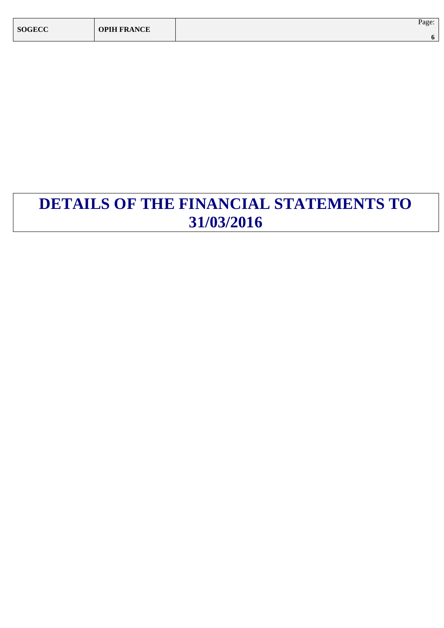| <b>SOGECC</b> | <b>OPIH FRANCE</b> | Page: |
|---------------|--------------------|-------|
|               |                    |       |

## **DETAILS OF THE FINANCIAL STATEMENTS TO 31/03/2016**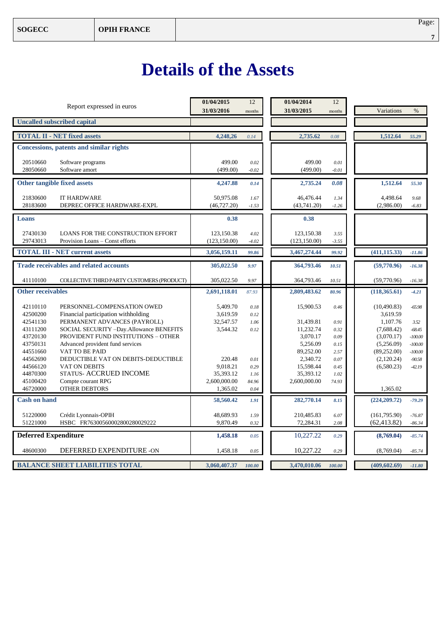# **Details of the Assets**

| Report expressed in euros                                                                                                                                                                                                                        | 01/04/2015<br>31/03/2016                      | 12<br>months                 | 01/04/2014<br>31/03/2015                        | 12<br>months                 | Variations                                                       | $\%$                                      |
|--------------------------------------------------------------------------------------------------------------------------------------------------------------------------------------------------------------------------------------------------|-----------------------------------------------|------------------------------|-------------------------------------------------|------------------------------|------------------------------------------------------------------|-------------------------------------------|
| <b>Uncalled subscribed capital</b>                                                                                                                                                                                                               |                                               |                              |                                                 |                              |                                                                  |                                           |
| <b>TOTAL II - NET fixed assets</b>                                                                                                                                                                                                               | 4,248,26                                      | 0.14                         | 2,735.62                                        | 0.08                         | 1,512.64                                                         | 55.29                                     |
| <b>Concessions, patents and similar rights</b>                                                                                                                                                                                                   |                                               |                              |                                                 |                              |                                                                  |                                           |
| 20510660<br>Software programs<br>28050660<br>Software amort                                                                                                                                                                                      | 499.00<br>(499.00)                            | 0.02<br>$-0.02$              | 499.00<br>(499.00)                              | 0.01<br>$-0.01$              |                                                                  |                                           |
| Other tangible fixed assets                                                                                                                                                                                                                      | 4,247.88                                      | 0.14                         | 2,735.24                                        | 0.08                         | 1,512.64                                                         | 55.30                                     |
| 21830600<br><b>IT HARDWARE</b><br>28183600<br>DEPREC OFFICE HARDWARE-EXPL                                                                                                                                                                        | 50,975.08<br>(46, 727.20)                     | 1.67<br>$-1.53$              | 46,476.44<br>(43,741.20)                        | 1.34<br>$-1.26$              | 4,498.64<br>(2,986.00)                                           | 9.68<br>$-6.83$                           |
| Loans                                                                                                                                                                                                                                            | 0.38                                          |                              | 0.38                                            |                              |                                                                  |                                           |
| 27430130<br>LOANS FOR THE CONSTRUCTION EFFORT<br>29743013<br>Provision Loans - Const efforts                                                                                                                                                     | 123,150.38<br>(123, 150.00)                   | 4.02<br>$-4.02$              | 123,150.38<br>(123, 150.00)                     | 3.55<br>$-3.55$              |                                                                  |                                           |
| <b>TOTAL III - NET current assets</b>                                                                                                                                                                                                            | 3,056,159.11                                  | 99.86                        | 3,467,274.44                                    | 99.92                        | (411, 115.33)                                                    | $-11.86$                                  |
| <b>Trade receivables and related accounts</b>                                                                                                                                                                                                    | 305,022.50                                    | 9.97                         | 364,793.46                                      | 10.51                        | (59,770.96)                                                      | $-16.38$                                  |
| 41110100<br>COLLECTIVE THIRD PARTY CUSTOMERS (PRODUCT)                                                                                                                                                                                           | 305,022.50                                    | 9.97                         | 364,793.46                                      | 10.51                        | (59,770.96)                                                      | $-16.38$                                  |
| <b>Other receivables</b>                                                                                                                                                                                                                         | 2,691,118.01                                  | 87.93                        | 2,809,483.62                                    | 80.96                        | (118, 365.61)                                                    | $-4.21$                                   |
| 42110110<br>PERSONNEL-COMPENSATION OWED<br>42500200<br>Financial participation withholding<br>PERMANENT ADVANCES (PAYROLL)<br>42541130<br>SOCIAL SECURITY -Day.Allowance BENEFITS<br>43111200<br>PROVIDENT FUND INSTITUTIONS - OTHER<br>43720130 | 5,409.70<br>3,619.59<br>32,547.57<br>3,544.32 | 0.18<br>0.12<br>1.06<br>0.12 | 15,900.53<br>31,439.81<br>11,232.74<br>3,070.17 | 0.46<br>0.91<br>0.32<br>0.09 | (10, 490.83)<br>3,619.59<br>1,107.76<br>(7,688.42)<br>(3,070.17) | $-65.98$<br>3.52<br>$-68.45$<br>$-100.00$ |
| 43750131<br>Advanced provident fund services<br>44551660<br><b>VAT TO BE PAID</b><br>DEDUCTIBLE VAT ON DEBITS-DEDUCTIBLE<br>44562690                                                                                                             | 220.48                                        | 0.01                         | 5,256.09<br>89,252.00<br>2,340.72               | 0.15<br>2.57<br>0.07         | (5,256.09)<br>(89, 252.00)<br>(2,120.24)                         | $-100.00$<br>$-100.00$<br>$-90.58$        |
| 44566120<br>VAT ON DEBITS<br><b>STATUS- ACCRUED INCOME</b><br>44870300<br>45100420<br>Compte courant RPG                                                                                                                                         | 9,018.21<br>35,393.12<br>2,600,000.00         | 0.29<br>1.16<br>84.96        | 15,598.44<br>35,393.12<br>2,600,000.00          | 0.45<br>1.02<br>74.93        | (6,580.23)                                                       | $-42.19$                                  |
| 46720000<br><b>OTHER DEBTORS</b><br><b>Cash on hand</b>                                                                                                                                                                                          | 1,365.02<br>58,560.42                         | 0.04                         | 282,770.14                                      |                              | 1,365.02<br>(224, 209, 72)                                       |                                           |
| 51220000<br>Crédit Lyonnais-OPIH<br>51221000<br>HSBC FR76300560002800280029222                                                                                                                                                                   | 48,689.93<br>9,870.49                         | 1.91<br>1.59<br>0.32         | 210,485.83<br>72,284.31                         | 8.15<br>6.07<br>2.08         | (161,795.90)<br>(62, 413.82)                                     | $-79.29$<br>$-76.87$<br>$-86.34$          |
| <b>Deferred Expenditure</b>                                                                                                                                                                                                                      | 1,458.18                                      | 0.05                         | 10,227.22                                       | 0.29                         | (8,769.04)                                                       | $-85.74$                                  |
| DEFERRED EXPENDITURE -ON<br>48600300                                                                                                                                                                                                             | 1,458.18                                      | 0.05                         | 10,227.22                                       | 0.29                         | (8,769.04)                                                       | $-85.74$                                  |
| <b>BALANCE SHEET LIABILITIES TOTAL</b>                                                                                                                                                                                                           | 3,060,407.37                                  | 100.00                       | 3,470,010.06                                    | 100.00                       | (409, 602.69)                                                    | $-11.80$                                  |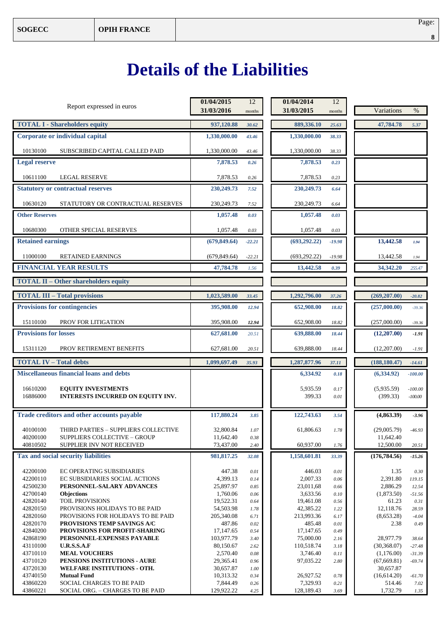# **Details of the Liabilities**

| Report expressed in euros                                                                    | 01/04/2015<br>31/03/2016 | 12<br>months     | 01/04/2014<br>31/03/2015 | 12<br>months     | Variations                | $\%$                   |
|----------------------------------------------------------------------------------------------|--------------------------|------------------|--------------------------|------------------|---------------------------|------------------------|
| <b>TOTAL I - Shareholders equity</b>                                                         | 937,120.88               | 30.62            | 889,336.10               | 25.63            | 47,784.78                 | 5.37                   |
| Corporate or individual capital                                                              | 1,330,000.00             | 43.46            | 1,330,000.00             | 38.33            |                           |                        |
| 10130100<br>SUBSCRIBED CAPITAL CALLED PAID                                                   | 1,330,000.00             | 43.46            | 1,330,000.00             | 38.33            |                           |                        |
| <b>Legal reserve</b>                                                                         | 7,878.53                 | 0.26             | 7,878.53                 | 0.23             |                           |                        |
| 10611100<br><b>LEGAL RESERVE</b>                                                             | 7,878.53                 | 0.26             | 7,878.53                 | 0.23             |                           |                        |
| <b>Statutory or contractual reserves</b>                                                     | 230,249.73               | 7.52             | 230,249.73               | 6.64             |                           |                        |
| 10630120<br>STATUTORY OR CONTRACTUAL RESERVES                                                | 230,249.73               | 7.52             | 230,249.73               | 6.64             |                           |                        |
| <b>Other Reserves</b>                                                                        | 1,057.48                 | 0.03             | 1,057.48                 | 0.03             |                           |                        |
| 10680300<br>OTHER SPECIAL RESERVES                                                           | 1,057.48                 | 0.03             | 1,057.48                 | 0.03             |                           |                        |
| <b>Retained earnings</b>                                                                     | (679, 849, 64)           | $-22.21$         | (693, 292, 22)           | $-19.98$         | 13,442.58                 | 1.94                   |
| 11000100<br><b>RETAINED EARNINGS</b>                                                         | (679, 849.64)            | $-22.21$         | (693, 292.22)            | $-19.98$         | 13,442.58                 | 1.94                   |
| <b>FINANCIAL YEAR RESULTS</b>                                                                | 47,784.78                | 1.56             | 13,442.58                | 0.39             | 34,342.20                 | 255.47                 |
| <b>TOTAL II - Other shareholders equity</b>                                                  |                          |                  |                          |                  |                           |                        |
| <b>TOTAL III - Total provisions</b>                                                          | 1,023,589.00             | 33.45            | 1,292,796.00             | 37.26            | (269, 207.00)             | $-20.82$               |
| <b>Provisions for contingencies</b>                                                          | 395,908.00               | 12.94            | 652,908.00               | 18.82            | (257,000.00)              | $-39.36$               |
| 15110100<br>PROV FOR LITIGATION<br>395,908.00<br>652,908.00<br>12.94                         |                          |                  |                          | 18.82            | (257,000.00)              | $-39.36$               |
| <b>Provisions for losses</b>                                                                 | 627,681.00               | 20.51            | 639,888.00               | 18.44            | (12,207.00)               | $-1.91$                |
| 15311120<br>PROV RETIREMENT BENEFITS                                                         | 627,681.00               | 20.51            | 639,888.00               | 18.44            | (12,207.00)               | $-1.91$                |
| <b>TOTAL IV - Total debts</b>                                                                | 1,099,697.49             | 35.93            | 1,287,877.96             | 37.11            | (188, 180.47)             | $-14.61$               |
| <b>Miscellaneous financial loans and debts</b>                                               |                          |                  | 6,334.92                 | 0.18             | (6,334.92)                | $-100.00$              |
| 16610200<br><b>EQUITY INVESTMENTS</b><br>16886000<br>INTERESTS INCURRED ON EQUITY INV.       |                          |                  | 5,935.59<br>399.33       | 0.17<br>0.01     | (5,935.59)<br>(399.33)    | $-100.00$<br>$-100.00$ |
| Trade creditors and other accounts payable                                                   | 117,880.24               | 3.85             | 122,743.63               | 3.54             | (4,863.39)                | $-3.96$                |
| THIRD PARTIES - SUPPLIERS COLLECTIVE<br>40100100<br>40200100<br>SUPPLIERS COLLECTIVE - GROUP | 32,800.84<br>11,642.40   | 1.07<br>0.38     | 61,806.63                | 1.78             | (29,005.79)<br>11,642.40  | $-46.93$               |
| 40810502<br>SUPPLIER INV NOT RECEIVED                                                        | 73,437.00                | 2.40             | 60,937.00                | 1.76             | 12,500.00                 | 20.51                  |
| Tax and social security liabilities                                                          | 981,817.25               | 32.08            | 1,158,601.81             | 33.39            | (176, 784.56)             | $-15.26$               |
| 42200100<br>EC OPERATING SUBSIDIARIES                                                        | 447.38                   | $0.01\,$         | 446.03                   | $0.01\,$         | 1.35                      | 0.30                   |
| 42200110<br>EC SUBSIDIARIES SOCIAL ACTIONS<br>42500230<br>PERSONNEL-SALARY ADVANCES          | 4,399.13<br>25,897.97    | 0.14<br>0.85     | 2,007.33<br>23,011,68    | 0.06<br>0.66     | 2,391.80<br>2,886.29      | 119.15<br>12.54        |
| 42700140<br><b>Objections</b>                                                                | 1,760.06                 | 0.06             | 3,633.56                 | 0.10             | (1,873.50)                | $-51.56$               |
| 42820140<br><b>TOIL PROVISIONS</b>                                                           | 19,522.31                | 0.64             | 19,461.08                | 0.56             | 61.23                     | 0.31                   |
| 42820150<br>PROVISIONS HOLIDAYS TO BE PAID                                                   | 54,503.98                | 1.78             | 42,385.22                | 1.22             | 12,118.76                 | 28.59                  |
| 42820160<br>PROVISIONS FOR HOLIDAYS TO BE PAID<br>42820170<br>PROVISIONS TEMP SAVINGS A/C    | 205,340.08<br>487.86     | 6.71<br>0.02     | 213,993.36<br>485.48     | 6.17<br>$0.01\,$ | (8,653.28)<br>2.38        | $-4.04$<br>0.49        |
| 42840200<br>PROVISIONS FOR PROFIT-SHARING                                                    | 17, 147.65               | 0.54             | 17, 147.65               | 0.49             |                           |                        |
| 42868190<br>PERSONNEL-EXPENSES PAYABLE                                                       | 103,977.79               | 3.40             | 75,000.00                | 2.16             | 28,977.79                 | 38.64                  |
| 43110100<br><b>U.R.S.S.A.F</b>                                                               | 80,150.67                | 2.62             | 110,518.74               | 3.18             | (30, 368.07)              | $-27.48$               |
| 43710110<br><b>MEAL VOUCHERS</b>                                                             | 2,570.40                 | $0.08\,$         | 3,746.40                 | 0.11             | (1,176.00)                | $-31.39$               |
| 43710120<br>PENSIONS INSTITUTIONS - AURE<br>43720130<br>WELFARE INSTITUTIONS - OTH.          | 29,365.41<br>30,657.87   | 0.96<br>$1.00\,$ | 97,035.22                | 2.80             | (67, 669.81)<br>30,657.87 | $-69.74$               |
| 43740150<br><b>Mutual Fund</b>                                                               | 10,313.32                | 0.34             | 26,927.52                | 0.78             | (16,614.20)               | $-61.70$               |
| 43860220<br>SOCIAL CHARGES TO BE PAID                                                        | 7,844.49                 | 0.26             | 7,329.93                 | 0.21             | 514.46                    | 7.02                   |
| 43860221<br>SOCIAL ORG. - CHARGES TO BE PAID                                                 | 129,922.22               | 4.25             | 128,189.43               | 3.69             | 1,732.79                  | 1.35                   |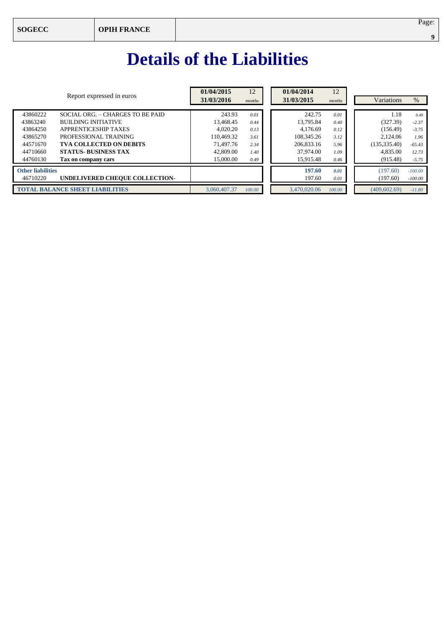# **Details of the Liabilities**

| Report expressed in euros              |                                  | 01/04/2015<br>31/03/2016 | 12<br>months | 01/04/2014<br>31/03/2015 | 12<br>months | Variations           | $\%$                   |
|----------------------------------------|----------------------------------|--------------------------|--------------|--------------------------|--------------|----------------------|------------------------|
| 43860222                               | SOCIAL ORG. - CHARGES TO BE PAID | 243.93                   | 0.01         | 242.75                   | 0.01         | 1.18                 | 0.49                   |
| 43863240                               | <b>BUILDING INITIATIVE</b>       | 13.468.45                | 0.44         | 13.795.84                | 0.40         | (327.39)             | $-2.37$                |
| 43864250                               | <b>APPRENTICESHIP TAXES</b>      | 4,020.20                 | 0.13         | 4.176.69                 | 0.12         | (156.49)             | $-3.75$                |
| 43865270                               | PROFESSIONAL TRAINING            | 110.469.32               | 3.61         | 108,345.26               | 3.12         | 2.124.06             | 1.96                   |
| 44571670                               | <b>TVA COLLECTED ON DEBITS</b>   | 71,497.76                | 2.34         | 206,833.16               | 5.96         | (135, 335.40)        | $-65.43$               |
| 44710660                               | <b>STATUS- BUSINESS TAX</b>      | 42,809.00                | 1.40         | 37,974.00                | 1.09         | 4,835.00             | 12.73                  |
| 44760130                               | Tax on company cars              | 15,000.00                | 0.49         | 15.915.48                | 0.46         | (915.48)             | $-5.75$                |
| <b>Other liabilities</b><br>46710220   | UNDELIVERED CHEQUE COLLECTION-   |                          |              | 197.60<br>197.60         | 0.01<br>0.01 | (197.60)<br>(197.60) | $-100,00$<br>$-100.00$ |
| <b>TOTAL BALANCE SHEET LIABILITIES</b> |                                  | 3,060,407.37             | 100.00       | 3.470,020,06             | 100.00       | (409.602.69)         | $-11.80$               |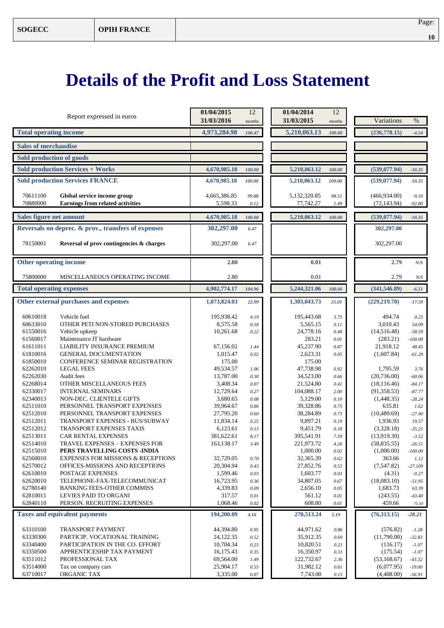# **Details of the Profit and Loss Statement**

| months<br>months<br><b>Total operating income</b><br>4,973,284.98<br>5,210,063.13<br>(236,778.15)<br>100.00<br>106.47<br>$-4.54$<br><b>Sales of merchandise</b><br>Sold production of goods<br><b>Sold production Services + Works</b><br>4,670,985.18<br>5,210,063.12<br>(539,077.94)<br>100.00<br>100.00<br>$-10.35$<br><b>Sold production Services FRANCE</b><br>4,670,985.18<br>5,210,063.12<br>(539,077,94)<br>100.00<br>100.00<br>$-10.35$<br>70611100<br>Global service income group<br>4,665,386.85<br>5,132,320.85<br>(466,934.00)<br>99.88<br>98.51<br>$-9.10$<br>70880000<br><b>Earnings from related activities</b><br>5,598.33<br>77,742.27<br>(72, 143.94)<br>0.12<br>1.49<br>$-92.80$<br><b>Sales figure net amount</b><br>4,670,985.18<br>5,210,063.12<br>(539,077.94)<br>100.00<br>100.00<br>$-10.35$<br>Reversals on deprec. & prov., transfers of expenses<br>302,297.00<br>302,297.00<br>6.47<br>78150001<br>Reversal of prov contingencies & charges<br>302,297.00<br>302,297.00<br>6.47<br>Other operating income<br>2.80<br>0.01<br>2.79<br>N/S<br>75800000<br>MISCELLANEOUS OPERATING INCOME<br>2.80<br>0.01<br>2.79<br>N/S<br><b>Total operating expenses</b><br>4,902,774.17<br>5,244,321.06<br>(341, 546.89)<br>$-6.51$<br>104.96<br>100.66<br>Other external purchases and expenses<br>1,073,824.03<br>1,303,043.73<br>(229, 219.70)<br>22.99<br>25.01<br>$-17.59$<br>60610018<br>Vehicle fuel<br>195,938.42<br>4.19<br>195,443.68<br>494.74<br>3.75<br>0.25<br>60633010<br>OTHER PETI NON-STORED PURCHASES<br>8,575.58<br>5,565.15<br>3.010.43<br>0.18<br>54.09<br>0.11<br>61550016<br>10,261.68<br>24,778.16<br>Vehicle upkeep<br>(14,516.48)<br>$-58.59$<br>0.22<br>0.48<br>61560017<br>Maintenance IT hardware<br>283.21<br>(283.21)<br>$-100.00$<br>0.01<br>LIABILITY INSURANCE PREMIUM<br>61611011<br>45,237.90<br>21,918.12<br>67,156.02<br>0.87<br>48.45<br>1.44<br>61810016<br><b>GENERAL DOCUMENTATION</b><br>2,623.31<br>1,015.47<br>0.02<br>(1,607.84)<br>0.05<br>$-61.29$<br>61850010<br>CONFERENCE SEMINAR REGISTRATION<br>175.00<br>175.00<br>62262010<br><b>LEGAL FEES</b><br>49,534.57<br>47,738.98<br>0.92<br>1,795.59<br>1.06<br>3.76<br>62262030<br>Audit fees<br>13,787.00<br>34,523.00<br>(20, 736.00)<br>0.30<br>0.66<br>$-60.06$<br>62268014<br>OTHER MISCELLANEOUS FEES<br>3,408.34<br>0.07<br>21,524.80<br>(18, 116.46)<br>0.41<br>$-84.17$<br>62330017<br><b>INTERNAL SEMINARS</b><br>12,729.64<br>104,088.17<br>(91, 358.53)<br>0.27<br>2.00<br>$-87.77$<br>62340013<br>NON-DEC. CLIENTELE GIFTS<br>3,680.65<br>5,129.00<br>(1,448.35)<br>0.08<br>0.10<br>$-28.24$<br>62511010<br>PERSONNEL TRANSPORT EXPENSES<br>39,328.86<br>635.81<br>39,964.67<br>0.75<br>1.62<br>0.86<br>62512010<br>PERSONNEL TRANSPORT EXPENSES<br>27,795.20<br>38,284.89<br>(10, 489.69)<br>0.60<br>0.73<br>$-27.40$<br>62512011<br>TRANSPORT EXPENSES - BUS/SUBWAY<br>9,897.21<br>11,834.14<br>0.19<br>1,936.93<br>0.25<br>19.57<br>62512012<br>6,123.61<br>TRANSPORT EXPENSES TAXIS<br>9,451.79<br>(3,328.18)<br>0.13<br>0.18<br>$-35.21$<br>62513011<br><b>CAR RENTAL EXPENSES</b><br>381,622.61<br>395,541.91<br>(13,919.30)<br>8.17<br>7.59<br>$-3.52$<br>TRAVEL EXPENSES - EXPENSES FOR<br>163,138.17<br>221,973.72<br>62514010<br>(58, 835.55)<br>$-26.51$<br>3.49<br>4.26<br>62515010<br>PERS TRAVELLING COSTS - INDIA<br>1,000.00<br>(1,000.00)<br>0.02<br>$-100.00$<br>62560010<br><b>EXPENSES FOR MISSIONS &amp; RECEPTIONS</b><br>32,365.39<br>363.66<br>32,729.05<br>$0.70\,$<br>0.62<br>1.12<br>62570012<br>OFFICES-MISSIONS AND RECEPTIONS<br>20,304.94<br>27,852.76<br>(7,547.82)<br>0.43<br>0.53<br>$-27.109$<br>62610010<br>POSTAGE EXPENSES<br>1,599.46<br>1,603.77<br>(4.31)<br>0.03<br>0.03<br>$-0.27$<br>62620010<br>TELEPHONE-FAX-TELECOMMUNICAT<br>16,723.95<br>34,807.05<br>(18,083.10)<br>0.36<br>0.67<br>$-51.95$<br>62780140<br><b>BANKING FEES-OTHER COMMISS</b><br>4,339.83<br>2,656.10<br>1,683.73<br>0.09<br>0.05<br>63.39<br>62810011<br>317.57<br>LEVIES PAID TO ORGANI<br>561.12<br>(243.55)<br>$0.01\,$<br>$0.01\,$<br>$-43.40$<br>62840110<br>PERSON. RECRUITING EXPENSES<br>608.80<br>1,068.46<br>459.66<br>0.02<br>$0.01\,$<br>75.50<br><b>Taxes and equivalent payments</b><br>270,513.24<br>(76,313.15)<br>194,200.09<br>$-28.21$<br>4.16<br>5.19<br>63310100<br>TRANSPORT PAYMENT<br>44,394.80<br>44,971.62<br>(576.82)<br>0.95<br>0.86<br>$-1.28$<br>63330300<br>PARTICIP. VOCATIONAL TRAINING<br>(11,790.00)<br>24,122.35<br>35,912.35<br>0.69<br>0.52<br>$-32.83$<br>63340400<br>10,704.34<br>PARTICIPATION IN THE CO. EFFORT<br>10,820.51<br>(116.17)<br>0.23<br>0.21<br>$-1.07$<br>63350500<br>APPRENTICESHIP TAX PAYMENT<br>16,175.43<br>16,350.97<br>0.31<br>(175.54)<br>0.35<br>$-1.07$<br>63511012<br>PROFESSIONAL TAX<br>69,564.00<br>122,732.67<br>(53, 168.67)<br>1.49<br>2.36<br>$-43.32$<br>63514000<br>25,904.17<br>Tax on company cars<br>31,982.12<br>(6,077.95)<br>0.55<br>0.61<br>$-19.00$ | Report expressed in euros |             | 01/04/2015 | 12       | 01/04/2014 | 12   |            |          |
|-----------------------------------------------------------------------------------------------------------------------------------------------------------------------------------------------------------------------------------------------------------------------------------------------------------------------------------------------------------------------------------------------------------------------------------------------------------------------------------------------------------------------------------------------------------------------------------------------------------------------------------------------------------------------------------------------------------------------------------------------------------------------------------------------------------------------------------------------------------------------------------------------------------------------------------------------------------------------------------------------------------------------------------------------------------------------------------------------------------------------------------------------------------------------------------------------------------------------------------------------------------------------------------------------------------------------------------------------------------------------------------------------------------------------------------------------------------------------------------------------------------------------------------------------------------------------------------------------------------------------------------------------------------------------------------------------------------------------------------------------------------------------------------------------------------------------------------------------------------------------------------------------------------------------------------------------------------------------------------------------------------------------------------------------------------------------------------------------------------------------------------------------------------------------------------------------------------------------------------------------------------------------------------------------------------------------------------------------------------------------------------------------------------------------------------------------------------------------------------------------------------------------------------------------------------------------------------------------------------------------------------------------------------------------------------------------------------------------------------------------------------------------------------------------------------------------------------------------------------------------------------------------------------------------------------------------------------------------------------------------------------------------------------------------------------------------------------------------------------------------------------------------------------------------------------------------------------------------------------------------------------------------------------------------------------------------------------------------------------------------------------------------------------------------------------------------------------------------------------------------------------------------------------------------------------------------------------------------------------------------------------------------------------------------------------------------------------------------------------------------------------------------------------------------------------------------------------------------------------------------------------------------------------------------------------------------------------------------------------------------------------------------------------------------------------------------------------------------------------------------------------------------------------------------------------------------------------------------------------------------------------------------------------------------------------------------------------------------------------------------------------------------------------------------------------------------------------------------------------------------------------------------------------------------------------------------------------------------------------------------------------------------------------------------------------------------------------------------------------------------------------------------------------------------------------------------------------------------------------------------------------------------------------------------------------------------------------------------------------------|---------------------------|-------------|------------|----------|------------|------|------------|----------|
|                                                                                                                                                                                                                                                                                                                                                                                                                                                                                                                                                                                                                                                                                                                                                                                                                                                                                                                                                                                                                                                                                                                                                                                                                                                                                                                                                                                                                                                                                                                                                                                                                                                                                                                                                                                                                                                                                                                                                                                                                                                                                                                                                                                                                                                                                                                                                                                                                                                                                                                                                                                                                                                                                                                                                                                                                                                                                                                                                                                                                                                                                                                                                                                                                                                                                                                                                                                                                                                                                                                                                                                                                                                                                                                                                                                                                                                                                                                                                                                                                                                                                                                                                                                                                                                                                                                                                                                                                                                                                                                                                                                                                                                                                                                                                                                                                                                                                                                                                                                         |                           |             | 31/03/2016 |          | 31/03/2015 |      | Variations | %        |
|                                                                                                                                                                                                                                                                                                                                                                                                                                                                                                                                                                                                                                                                                                                                                                                                                                                                                                                                                                                                                                                                                                                                                                                                                                                                                                                                                                                                                                                                                                                                                                                                                                                                                                                                                                                                                                                                                                                                                                                                                                                                                                                                                                                                                                                                                                                                                                                                                                                                                                                                                                                                                                                                                                                                                                                                                                                                                                                                                                                                                                                                                                                                                                                                                                                                                                                                                                                                                                                                                                                                                                                                                                                                                                                                                                                                                                                                                                                                                                                                                                                                                                                                                                                                                                                                                                                                                                                                                                                                                                                                                                                                                                                                                                                                                                                                                                                                                                                                                                                         |                           |             |            |          |            |      |            |          |
|                                                                                                                                                                                                                                                                                                                                                                                                                                                                                                                                                                                                                                                                                                                                                                                                                                                                                                                                                                                                                                                                                                                                                                                                                                                                                                                                                                                                                                                                                                                                                                                                                                                                                                                                                                                                                                                                                                                                                                                                                                                                                                                                                                                                                                                                                                                                                                                                                                                                                                                                                                                                                                                                                                                                                                                                                                                                                                                                                                                                                                                                                                                                                                                                                                                                                                                                                                                                                                                                                                                                                                                                                                                                                                                                                                                                                                                                                                                                                                                                                                                                                                                                                                                                                                                                                                                                                                                                                                                                                                                                                                                                                                                                                                                                                                                                                                                                                                                                                                                         |                           |             |            |          |            |      |            |          |
|                                                                                                                                                                                                                                                                                                                                                                                                                                                                                                                                                                                                                                                                                                                                                                                                                                                                                                                                                                                                                                                                                                                                                                                                                                                                                                                                                                                                                                                                                                                                                                                                                                                                                                                                                                                                                                                                                                                                                                                                                                                                                                                                                                                                                                                                                                                                                                                                                                                                                                                                                                                                                                                                                                                                                                                                                                                                                                                                                                                                                                                                                                                                                                                                                                                                                                                                                                                                                                                                                                                                                                                                                                                                                                                                                                                                                                                                                                                                                                                                                                                                                                                                                                                                                                                                                                                                                                                                                                                                                                                                                                                                                                                                                                                                                                                                                                                                                                                                                                                         |                           |             |            |          |            |      |            |          |
|                                                                                                                                                                                                                                                                                                                                                                                                                                                                                                                                                                                                                                                                                                                                                                                                                                                                                                                                                                                                                                                                                                                                                                                                                                                                                                                                                                                                                                                                                                                                                                                                                                                                                                                                                                                                                                                                                                                                                                                                                                                                                                                                                                                                                                                                                                                                                                                                                                                                                                                                                                                                                                                                                                                                                                                                                                                                                                                                                                                                                                                                                                                                                                                                                                                                                                                                                                                                                                                                                                                                                                                                                                                                                                                                                                                                                                                                                                                                                                                                                                                                                                                                                                                                                                                                                                                                                                                                                                                                                                                                                                                                                                                                                                                                                                                                                                                                                                                                                                                         |                           |             |            |          |            |      |            |          |
|                                                                                                                                                                                                                                                                                                                                                                                                                                                                                                                                                                                                                                                                                                                                                                                                                                                                                                                                                                                                                                                                                                                                                                                                                                                                                                                                                                                                                                                                                                                                                                                                                                                                                                                                                                                                                                                                                                                                                                                                                                                                                                                                                                                                                                                                                                                                                                                                                                                                                                                                                                                                                                                                                                                                                                                                                                                                                                                                                                                                                                                                                                                                                                                                                                                                                                                                                                                                                                                                                                                                                                                                                                                                                                                                                                                                                                                                                                                                                                                                                                                                                                                                                                                                                                                                                                                                                                                                                                                                                                                                                                                                                                                                                                                                                                                                                                                                                                                                                                                         |                           |             |            |          |            |      |            |          |
|                                                                                                                                                                                                                                                                                                                                                                                                                                                                                                                                                                                                                                                                                                                                                                                                                                                                                                                                                                                                                                                                                                                                                                                                                                                                                                                                                                                                                                                                                                                                                                                                                                                                                                                                                                                                                                                                                                                                                                                                                                                                                                                                                                                                                                                                                                                                                                                                                                                                                                                                                                                                                                                                                                                                                                                                                                                                                                                                                                                                                                                                                                                                                                                                                                                                                                                                                                                                                                                                                                                                                                                                                                                                                                                                                                                                                                                                                                                                                                                                                                                                                                                                                                                                                                                                                                                                                                                                                                                                                                                                                                                                                                                                                                                                                                                                                                                                                                                                                                                         |                           |             |            |          |            |      |            |          |
|                                                                                                                                                                                                                                                                                                                                                                                                                                                                                                                                                                                                                                                                                                                                                                                                                                                                                                                                                                                                                                                                                                                                                                                                                                                                                                                                                                                                                                                                                                                                                                                                                                                                                                                                                                                                                                                                                                                                                                                                                                                                                                                                                                                                                                                                                                                                                                                                                                                                                                                                                                                                                                                                                                                                                                                                                                                                                                                                                                                                                                                                                                                                                                                                                                                                                                                                                                                                                                                                                                                                                                                                                                                                                                                                                                                                                                                                                                                                                                                                                                                                                                                                                                                                                                                                                                                                                                                                                                                                                                                                                                                                                                                                                                                                                                                                                                                                                                                                                                                         |                           |             |            |          |            |      |            |          |
|                                                                                                                                                                                                                                                                                                                                                                                                                                                                                                                                                                                                                                                                                                                                                                                                                                                                                                                                                                                                                                                                                                                                                                                                                                                                                                                                                                                                                                                                                                                                                                                                                                                                                                                                                                                                                                                                                                                                                                                                                                                                                                                                                                                                                                                                                                                                                                                                                                                                                                                                                                                                                                                                                                                                                                                                                                                                                                                                                                                                                                                                                                                                                                                                                                                                                                                                                                                                                                                                                                                                                                                                                                                                                                                                                                                                                                                                                                                                                                                                                                                                                                                                                                                                                                                                                                                                                                                                                                                                                                                                                                                                                                                                                                                                                                                                                                                                                                                                                                                         |                           |             |            |          |            |      |            |          |
|                                                                                                                                                                                                                                                                                                                                                                                                                                                                                                                                                                                                                                                                                                                                                                                                                                                                                                                                                                                                                                                                                                                                                                                                                                                                                                                                                                                                                                                                                                                                                                                                                                                                                                                                                                                                                                                                                                                                                                                                                                                                                                                                                                                                                                                                                                                                                                                                                                                                                                                                                                                                                                                                                                                                                                                                                                                                                                                                                                                                                                                                                                                                                                                                                                                                                                                                                                                                                                                                                                                                                                                                                                                                                                                                                                                                                                                                                                                                                                                                                                                                                                                                                                                                                                                                                                                                                                                                                                                                                                                                                                                                                                                                                                                                                                                                                                                                                                                                                                                         |                           |             |            |          |            |      |            |          |
|                                                                                                                                                                                                                                                                                                                                                                                                                                                                                                                                                                                                                                                                                                                                                                                                                                                                                                                                                                                                                                                                                                                                                                                                                                                                                                                                                                                                                                                                                                                                                                                                                                                                                                                                                                                                                                                                                                                                                                                                                                                                                                                                                                                                                                                                                                                                                                                                                                                                                                                                                                                                                                                                                                                                                                                                                                                                                                                                                                                                                                                                                                                                                                                                                                                                                                                                                                                                                                                                                                                                                                                                                                                                                                                                                                                                                                                                                                                                                                                                                                                                                                                                                                                                                                                                                                                                                                                                                                                                                                                                                                                                                                                                                                                                                                                                                                                                                                                                                                                         |                           |             |            |          |            |      |            |          |
|                                                                                                                                                                                                                                                                                                                                                                                                                                                                                                                                                                                                                                                                                                                                                                                                                                                                                                                                                                                                                                                                                                                                                                                                                                                                                                                                                                                                                                                                                                                                                                                                                                                                                                                                                                                                                                                                                                                                                                                                                                                                                                                                                                                                                                                                                                                                                                                                                                                                                                                                                                                                                                                                                                                                                                                                                                                                                                                                                                                                                                                                                                                                                                                                                                                                                                                                                                                                                                                                                                                                                                                                                                                                                                                                                                                                                                                                                                                                                                                                                                                                                                                                                                                                                                                                                                                                                                                                                                                                                                                                                                                                                                                                                                                                                                                                                                                                                                                                                                                         |                           |             |            |          |            |      |            |          |
|                                                                                                                                                                                                                                                                                                                                                                                                                                                                                                                                                                                                                                                                                                                                                                                                                                                                                                                                                                                                                                                                                                                                                                                                                                                                                                                                                                                                                                                                                                                                                                                                                                                                                                                                                                                                                                                                                                                                                                                                                                                                                                                                                                                                                                                                                                                                                                                                                                                                                                                                                                                                                                                                                                                                                                                                                                                                                                                                                                                                                                                                                                                                                                                                                                                                                                                                                                                                                                                                                                                                                                                                                                                                                                                                                                                                                                                                                                                                                                                                                                                                                                                                                                                                                                                                                                                                                                                                                                                                                                                                                                                                                                                                                                                                                                                                                                                                                                                                                                                         |                           |             |            |          |            |      |            |          |
|                                                                                                                                                                                                                                                                                                                                                                                                                                                                                                                                                                                                                                                                                                                                                                                                                                                                                                                                                                                                                                                                                                                                                                                                                                                                                                                                                                                                                                                                                                                                                                                                                                                                                                                                                                                                                                                                                                                                                                                                                                                                                                                                                                                                                                                                                                                                                                                                                                                                                                                                                                                                                                                                                                                                                                                                                                                                                                                                                                                                                                                                                                                                                                                                                                                                                                                                                                                                                                                                                                                                                                                                                                                                                                                                                                                                                                                                                                                                                                                                                                                                                                                                                                                                                                                                                                                                                                                                                                                                                                                                                                                                                                                                                                                                                                                                                                                                                                                                                                                         |                           |             |            |          |            |      |            |          |
|                                                                                                                                                                                                                                                                                                                                                                                                                                                                                                                                                                                                                                                                                                                                                                                                                                                                                                                                                                                                                                                                                                                                                                                                                                                                                                                                                                                                                                                                                                                                                                                                                                                                                                                                                                                                                                                                                                                                                                                                                                                                                                                                                                                                                                                                                                                                                                                                                                                                                                                                                                                                                                                                                                                                                                                                                                                                                                                                                                                                                                                                                                                                                                                                                                                                                                                                                                                                                                                                                                                                                                                                                                                                                                                                                                                                                                                                                                                                                                                                                                                                                                                                                                                                                                                                                                                                                                                                                                                                                                                                                                                                                                                                                                                                                                                                                                                                                                                                                                                         |                           |             |            |          |            |      |            |          |
|                                                                                                                                                                                                                                                                                                                                                                                                                                                                                                                                                                                                                                                                                                                                                                                                                                                                                                                                                                                                                                                                                                                                                                                                                                                                                                                                                                                                                                                                                                                                                                                                                                                                                                                                                                                                                                                                                                                                                                                                                                                                                                                                                                                                                                                                                                                                                                                                                                                                                                                                                                                                                                                                                                                                                                                                                                                                                                                                                                                                                                                                                                                                                                                                                                                                                                                                                                                                                                                                                                                                                                                                                                                                                                                                                                                                                                                                                                                                                                                                                                                                                                                                                                                                                                                                                                                                                                                                                                                                                                                                                                                                                                                                                                                                                                                                                                                                                                                                                                                         |                           |             |            |          |            |      |            |          |
|                                                                                                                                                                                                                                                                                                                                                                                                                                                                                                                                                                                                                                                                                                                                                                                                                                                                                                                                                                                                                                                                                                                                                                                                                                                                                                                                                                                                                                                                                                                                                                                                                                                                                                                                                                                                                                                                                                                                                                                                                                                                                                                                                                                                                                                                                                                                                                                                                                                                                                                                                                                                                                                                                                                                                                                                                                                                                                                                                                                                                                                                                                                                                                                                                                                                                                                                                                                                                                                                                                                                                                                                                                                                                                                                                                                                                                                                                                                                                                                                                                                                                                                                                                                                                                                                                                                                                                                                                                                                                                                                                                                                                                                                                                                                                                                                                                                                                                                                                                                         |                           |             |            |          |            |      |            |          |
|                                                                                                                                                                                                                                                                                                                                                                                                                                                                                                                                                                                                                                                                                                                                                                                                                                                                                                                                                                                                                                                                                                                                                                                                                                                                                                                                                                                                                                                                                                                                                                                                                                                                                                                                                                                                                                                                                                                                                                                                                                                                                                                                                                                                                                                                                                                                                                                                                                                                                                                                                                                                                                                                                                                                                                                                                                                                                                                                                                                                                                                                                                                                                                                                                                                                                                                                                                                                                                                                                                                                                                                                                                                                                                                                                                                                                                                                                                                                                                                                                                                                                                                                                                                                                                                                                                                                                                                                                                                                                                                                                                                                                                                                                                                                                                                                                                                                                                                                                                                         |                           |             |            |          |            |      |            |          |
|                                                                                                                                                                                                                                                                                                                                                                                                                                                                                                                                                                                                                                                                                                                                                                                                                                                                                                                                                                                                                                                                                                                                                                                                                                                                                                                                                                                                                                                                                                                                                                                                                                                                                                                                                                                                                                                                                                                                                                                                                                                                                                                                                                                                                                                                                                                                                                                                                                                                                                                                                                                                                                                                                                                                                                                                                                                                                                                                                                                                                                                                                                                                                                                                                                                                                                                                                                                                                                                                                                                                                                                                                                                                                                                                                                                                                                                                                                                                                                                                                                                                                                                                                                                                                                                                                                                                                                                                                                                                                                                                                                                                                                                                                                                                                                                                                                                                                                                                                                                         |                           |             |            |          |            |      |            |          |
|                                                                                                                                                                                                                                                                                                                                                                                                                                                                                                                                                                                                                                                                                                                                                                                                                                                                                                                                                                                                                                                                                                                                                                                                                                                                                                                                                                                                                                                                                                                                                                                                                                                                                                                                                                                                                                                                                                                                                                                                                                                                                                                                                                                                                                                                                                                                                                                                                                                                                                                                                                                                                                                                                                                                                                                                                                                                                                                                                                                                                                                                                                                                                                                                                                                                                                                                                                                                                                                                                                                                                                                                                                                                                                                                                                                                                                                                                                                                                                                                                                                                                                                                                                                                                                                                                                                                                                                                                                                                                                                                                                                                                                                                                                                                                                                                                                                                                                                                                                                         |                           |             |            |          |            |      |            |          |
|                                                                                                                                                                                                                                                                                                                                                                                                                                                                                                                                                                                                                                                                                                                                                                                                                                                                                                                                                                                                                                                                                                                                                                                                                                                                                                                                                                                                                                                                                                                                                                                                                                                                                                                                                                                                                                                                                                                                                                                                                                                                                                                                                                                                                                                                                                                                                                                                                                                                                                                                                                                                                                                                                                                                                                                                                                                                                                                                                                                                                                                                                                                                                                                                                                                                                                                                                                                                                                                                                                                                                                                                                                                                                                                                                                                                                                                                                                                                                                                                                                                                                                                                                                                                                                                                                                                                                                                                                                                                                                                                                                                                                                                                                                                                                                                                                                                                                                                                                                                         |                           |             |            |          |            |      |            |          |
|                                                                                                                                                                                                                                                                                                                                                                                                                                                                                                                                                                                                                                                                                                                                                                                                                                                                                                                                                                                                                                                                                                                                                                                                                                                                                                                                                                                                                                                                                                                                                                                                                                                                                                                                                                                                                                                                                                                                                                                                                                                                                                                                                                                                                                                                                                                                                                                                                                                                                                                                                                                                                                                                                                                                                                                                                                                                                                                                                                                                                                                                                                                                                                                                                                                                                                                                                                                                                                                                                                                                                                                                                                                                                                                                                                                                                                                                                                                                                                                                                                                                                                                                                                                                                                                                                                                                                                                                                                                                                                                                                                                                                                                                                                                                                                                                                                                                                                                                                                                         |                           |             |            |          |            |      |            |          |
|                                                                                                                                                                                                                                                                                                                                                                                                                                                                                                                                                                                                                                                                                                                                                                                                                                                                                                                                                                                                                                                                                                                                                                                                                                                                                                                                                                                                                                                                                                                                                                                                                                                                                                                                                                                                                                                                                                                                                                                                                                                                                                                                                                                                                                                                                                                                                                                                                                                                                                                                                                                                                                                                                                                                                                                                                                                                                                                                                                                                                                                                                                                                                                                                                                                                                                                                                                                                                                                                                                                                                                                                                                                                                                                                                                                                                                                                                                                                                                                                                                                                                                                                                                                                                                                                                                                                                                                                                                                                                                                                                                                                                                                                                                                                                                                                                                                                                                                                                                                         |                           |             |            |          |            |      |            |          |
|                                                                                                                                                                                                                                                                                                                                                                                                                                                                                                                                                                                                                                                                                                                                                                                                                                                                                                                                                                                                                                                                                                                                                                                                                                                                                                                                                                                                                                                                                                                                                                                                                                                                                                                                                                                                                                                                                                                                                                                                                                                                                                                                                                                                                                                                                                                                                                                                                                                                                                                                                                                                                                                                                                                                                                                                                                                                                                                                                                                                                                                                                                                                                                                                                                                                                                                                                                                                                                                                                                                                                                                                                                                                                                                                                                                                                                                                                                                                                                                                                                                                                                                                                                                                                                                                                                                                                                                                                                                                                                                                                                                                                                                                                                                                                                                                                                                                                                                                                                                         |                           |             |            |          |            |      |            |          |
|                                                                                                                                                                                                                                                                                                                                                                                                                                                                                                                                                                                                                                                                                                                                                                                                                                                                                                                                                                                                                                                                                                                                                                                                                                                                                                                                                                                                                                                                                                                                                                                                                                                                                                                                                                                                                                                                                                                                                                                                                                                                                                                                                                                                                                                                                                                                                                                                                                                                                                                                                                                                                                                                                                                                                                                                                                                                                                                                                                                                                                                                                                                                                                                                                                                                                                                                                                                                                                                                                                                                                                                                                                                                                                                                                                                                                                                                                                                                                                                                                                                                                                                                                                                                                                                                                                                                                                                                                                                                                                                                                                                                                                                                                                                                                                                                                                                                                                                                                                                         |                           |             |            |          |            |      |            |          |
|                                                                                                                                                                                                                                                                                                                                                                                                                                                                                                                                                                                                                                                                                                                                                                                                                                                                                                                                                                                                                                                                                                                                                                                                                                                                                                                                                                                                                                                                                                                                                                                                                                                                                                                                                                                                                                                                                                                                                                                                                                                                                                                                                                                                                                                                                                                                                                                                                                                                                                                                                                                                                                                                                                                                                                                                                                                                                                                                                                                                                                                                                                                                                                                                                                                                                                                                                                                                                                                                                                                                                                                                                                                                                                                                                                                                                                                                                                                                                                                                                                                                                                                                                                                                                                                                                                                                                                                                                                                                                                                                                                                                                                                                                                                                                                                                                                                                                                                                                                                         |                           |             |            |          |            |      |            |          |
|                                                                                                                                                                                                                                                                                                                                                                                                                                                                                                                                                                                                                                                                                                                                                                                                                                                                                                                                                                                                                                                                                                                                                                                                                                                                                                                                                                                                                                                                                                                                                                                                                                                                                                                                                                                                                                                                                                                                                                                                                                                                                                                                                                                                                                                                                                                                                                                                                                                                                                                                                                                                                                                                                                                                                                                                                                                                                                                                                                                                                                                                                                                                                                                                                                                                                                                                                                                                                                                                                                                                                                                                                                                                                                                                                                                                                                                                                                                                                                                                                                                                                                                                                                                                                                                                                                                                                                                                                                                                                                                                                                                                                                                                                                                                                                                                                                                                                                                                                                                         |                           |             |            |          |            |      |            |          |
|                                                                                                                                                                                                                                                                                                                                                                                                                                                                                                                                                                                                                                                                                                                                                                                                                                                                                                                                                                                                                                                                                                                                                                                                                                                                                                                                                                                                                                                                                                                                                                                                                                                                                                                                                                                                                                                                                                                                                                                                                                                                                                                                                                                                                                                                                                                                                                                                                                                                                                                                                                                                                                                                                                                                                                                                                                                                                                                                                                                                                                                                                                                                                                                                                                                                                                                                                                                                                                                                                                                                                                                                                                                                                                                                                                                                                                                                                                                                                                                                                                                                                                                                                                                                                                                                                                                                                                                                                                                                                                                                                                                                                                                                                                                                                                                                                                                                                                                                                                                         |                           |             |            |          |            |      |            |          |
|                                                                                                                                                                                                                                                                                                                                                                                                                                                                                                                                                                                                                                                                                                                                                                                                                                                                                                                                                                                                                                                                                                                                                                                                                                                                                                                                                                                                                                                                                                                                                                                                                                                                                                                                                                                                                                                                                                                                                                                                                                                                                                                                                                                                                                                                                                                                                                                                                                                                                                                                                                                                                                                                                                                                                                                                                                                                                                                                                                                                                                                                                                                                                                                                                                                                                                                                                                                                                                                                                                                                                                                                                                                                                                                                                                                                                                                                                                                                                                                                                                                                                                                                                                                                                                                                                                                                                                                                                                                                                                                                                                                                                                                                                                                                                                                                                                                                                                                                                                                         |                           |             |            |          |            |      |            |          |
|                                                                                                                                                                                                                                                                                                                                                                                                                                                                                                                                                                                                                                                                                                                                                                                                                                                                                                                                                                                                                                                                                                                                                                                                                                                                                                                                                                                                                                                                                                                                                                                                                                                                                                                                                                                                                                                                                                                                                                                                                                                                                                                                                                                                                                                                                                                                                                                                                                                                                                                                                                                                                                                                                                                                                                                                                                                                                                                                                                                                                                                                                                                                                                                                                                                                                                                                                                                                                                                                                                                                                                                                                                                                                                                                                                                                                                                                                                                                                                                                                                                                                                                                                                                                                                                                                                                                                                                                                                                                                                                                                                                                                                                                                                                                                                                                                                                                                                                                                                                         |                           |             |            |          |            |      |            |          |
|                                                                                                                                                                                                                                                                                                                                                                                                                                                                                                                                                                                                                                                                                                                                                                                                                                                                                                                                                                                                                                                                                                                                                                                                                                                                                                                                                                                                                                                                                                                                                                                                                                                                                                                                                                                                                                                                                                                                                                                                                                                                                                                                                                                                                                                                                                                                                                                                                                                                                                                                                                                                                                                                                                                                                                                                                                                                                                                                                                                                                                                                                                                                                                                                                                                                                                                                                                                                                                                                                                                                                                                                                                                                                                                                                                                                                                                                                                                                                                                                                                                                                                                                                                                                                                                                                                                                                                                                                                                                                                                                                                                                                                                                                                                                                                                                                                                                                                                                                                                         |                           |             |            |          |            |      |            |          |
|                                                                                                                                                                                                                                                                                                                                                                                                                                                                                                                                                                                                                                                                                                                                                                                                                                                                                                                                                                                                                                                                                                                                                                                                                                                                                                                                                                                                                                                                                                                                                                                                                                                                                                                                                                                                                                                                                                                                                                                                                                                                                                                                                                                                                                                                                                                                                                                                                                                                                                                                                                                                                                                                                                                                                                                                                                                                                                                                                                                                                                                                                                                                                                                                                                                                                                                                                                                                                                                                                                                                                                                                                                                                                                                                                                                                                                                                                                                                                                                                                                                                                                                                                                                                                                                                                                                                                                                                                                                                                                                                                                                                                                                                                                                                                                                                                                                                                                                                                                                         |                           |             |            |          |            |      |            |          |
|                                                                                                                                                                                                                                                                                                                                                                                                                                                                                                                                                                                                                                                                                                                                                                                                                                                                                                                                                                                                                                                                                                                                                                                                                                                                                                                                                                                                                                                                                                                                                                                                                                                                                                                                                                                                                                                                                                                                                                                                                                                                                                                                                                                                                                                                                                                                                                                                                                                                                                                                                                                                                                                                                                                                                                                                                                                                                                                                                                                                                                                                                                                                                                                                                                                                                                                                                                                                                                                                                                                                                                                                                                                                                                                                                                                                                                                                                                                                                                                                                                                                                                                                                                                                                                                                                                                                                                                                                                                                                                                                                                                                                                                                                                                                                                                                                                                                                                                                                                                         |                           |             |            |          |            |      |            |          |
|                                                                                                                                                                                                                                                                                                                                                                                                                                                                                                                                                                                                                                                                                                                                                                                                                                                                                                                                                                                                                                                                                                                                                                                                                                                                                                                                                                                                                                                                                                                                                                                                                                                                                                                                                                                                                                                                                                                                                                                                                                                                                                                                                                                                                                                                                                                                                                                                                                                                                                                                                                                                                                                                                                                                                                                                                                                                                                                                                                                                                                                                                                                                                                                                                                                                                                                                                                                                                                                                                                                                                                                                                                                                                                                                                                                                                                                                                                                                                                                                                                                                                                                                                                                                                                                                                                                                                                                                                                                                                                                                                                                                                                                                                                                                                                                                                                                                                                                                                                                         |                           |             |            |          |            |      |            |          |
|                                                                                                                                                                                                                                                                                                                                                                                                                                                                                                                                                                                                                                                                                                                                                                                                                                                                                                                                                                                                                                                                                                                                                                                                                                                                                                                                                                                                                                                                                                                                                                                                                                                                                                                                                                                                                                                                                                                                                                                                                                                                                                                                                                                                                                                                                                                                                                                                                                                                                                                                                                                                                                                                                                                                                                                                                                                                                                                                                                                                                                                                                                                                                                                                                                                                                                                                                                                                                                                                                                                                                                                                                                                                                                                                                                                                                                                                                                                                                                                                                                                                                                                                                                                                                                                                                                                                                                                                                                                                                                                                                                                                                                                                                                                                                                                                                                                                                                                                                                                         |                           |             |            |          |            |      |            |          |
|                                                                                                                                                                                                                                                                                                                                                                                                                                                                                                                                                                                                                                                                                                                                                                                                                                                                                                                                                                                                                                                                                                                                                                                                                                                                                                                                                                                                                                                                                                                                                                                                                                                                                                                                                                                                                                                                                                                                                                                                                                                                                                                                                                                                                                                                                                                                                                                                                                                                                                                                                                                                                                                                                                                                                                                                                                                                                                                                                                                                                                                                                                                                                                                                                                                                                                                                                                                                                                                                                                                                                                                                                                                                                                                                                                                                                                                                                                                                                                                                                                                                                                                                                                                                                                                                                                                                                                                                                                                                                                                                                                                                                                                                                                                                                                                                                                                                                                                                                                                         |                           |             |            |          |            |      |            |          |
|                                                                                                                                                                                                                                                                                                                                                                                                                                                                                                                                                                                                                                                                                                                                                                                                                                                                                                                                                                                                                                                                                                                                                                                                                                                                                                                                                                                                                                                                                                                                                                                                                                                                                                                                                                                                                                                                                                                                                                                                                                                                                                                                                                                                                                                                                                                                                                                                                                                                                                                                                                                                                                                                                                                                                                                                                                                                                                                                                                                                                                                                                                                                                                                                                                                                                                                                                                                                                                                                                                                                                                                                                                                                                                                                                                                                                                                                                                                                                                                                                                                                                                                                                                                                                                                                                                                                                                                                                                                                                                                                                                                                                                                                                                                                                                                                                                                                                                                                                                                         |                           |             |            |          |            |      |            |          |
|                                                                                                                                                                                                                                                                                                                                                                                                                                                                                                                                                                                                                                                                                                                                                                                                                                                                                                                                                                                                                                                                                                                                                                                                                                                                                                                                                                                                                                                                                                                                                                                                                                                                                                                                                                                                                                                                                                                                                                                                                                                                                                                                                                                                                                                                                                                                                                                                                                                                                                                                                                                                                                                                                                                                                                                                                                                                                                                                                                                                                                                                                                                                                                                                                                                                                                                                                                                                                                                                                                                                                                                                                                                                                                                                                                                                                                                                                                                                                                                                                                                                                                                                                                                                                                                                                                                                                                                                                                                                                                                                                                                                                                                                                                                                                                                                                                                                                                                                                                                         |                           |             |            |          |            |      |            |          |
|                                                                                                                                                                                                                                                                                                                                                                                                                                                                                                                                                                                                                                                                                                                                                                                                                                                                                                                                                                                                                                                                                                                                                                                                                                                                                                                                                                                                                                                                                                                                                                                                                                                                                                                                                                                                                                                                                                                                                                                                                                                                                                                                                                                                                                                                                                                                                                                                                                                                                                                                                                                                                                                                                                                                                                                                                                                                                                                                                                                                                                                                                                                                                                                                                                                                                                                                                                                                                                                                                                                                                                                                                                                                                                                                                                                                                                                                                                                                                                                                                                                                                                                                                                                                                                                                                                                                                                                                                                                                                                                                                                                                                                                                                                                                                                                                                                                                                                                                                                                         |                           |             |            |          |            |      |            |          |
|                                                                                                                                                                                                                                                                                                                                                                                                                                                                                                                                                                                                                                                                                                                                                                                                                                                                                                                                                                                                                                                                                                                                                                                                                                                                                                                                                                                                                                                                                                                                                                                                                                                                                                                                                                                                                                                                                                                                                                                                                                                                                                                                                                                                                                                                                                                                                                                                                                                                                                                                                                                                                                                                                                                                                                                                                                                                                                                                                                                                                                                                                                                                                                                                                                                                                                                                                                                                                                                                                                                                                                                                                                                                                                                                                                                                                                                                                                                                                                                                                                                                                                                                                                                                                                                                                                                                                                                                                                                                                                                                                                                                                                                                                                                                                                                                                                                                                                                                                                                         |                           |             |            |          |            |      |            |          |
|                                                                                                                                                                                                                                                                                                                                                                                                                                                                                                                                                                                                                                                                                                                                                                                                                                                                                                                                                                                                                                                                                                                                                                                                                                                                                                                                                                                                                                                                                                                                                                                                                                                                                                                                                                                                                                                                                                                                                                                                                                                                                                                                                                                                                                                                                                                                                                                                                                                                                                                                                                                                                                                                                                                                                                                                                                                                                                                                                                                                                                                                                                                                                                                                                                                                                                                                                                                                                                                                                                                                                                                                                                                                                                                                                                                                                                                                                                                                                                                                                                                                                                                                                                                                                                                                                                                                                                                                                                                                                                                                                                                                                                                                                                                                                                                                                                                                                                                                                                                         |                           |             |            |          |            |      |            |          |
|                                                                                                                                                                                                                                                                                                                                                                                                                                                                                                                                                                                                                                                                                                                                                                                                                                                                                                                                                                                                                                                                                                                                                                                                                                                                                                                                                                                                                                                                                                                                                                                                                                                                                                                                                                                                                                                                                                                                                                                                                                                                                                                                                                                                                                                                                                                                                                                                                                                                                                                                                                                                                                                                                                                                                                                                                                                                                                                                                                                                                                                                                                                                                                                                                                                                                                                                                                                                                                                                                                                                                                                                                                                                                                                                                                                                                                                                                                                                                                                                                                                                                                                                                                                                                                                                                                                                                                                                                                                                                                                                                                                                                                                                                                                                                                                                                                                                                                                                                                                         |                           |             |            |          |            |      |            |          |
|                                                                                                                                                                                                                                                                                                                                                                                                                                                                                                                                                                                                                                                                                                                                                                                                                                                                                                                                                                                                                                                                                                                                                                                                                                                                                                                                                                                                                                                                                                                                                                                                                                                                                                                                                                                                                                                                                                                                                                                                                                                                                                                                                                                                                                                                                                                                                                                                                                                                                                                                                                                                                                                                                                                                                                                                                                                                                                                                                                                                                                                                                                                                                                                                                                                                                                                                                                                                                                                                                                                                                                                                                                                                                                                                                                                                                                                                                                                                                                                                                                                                                                                                                                                                                                                                                                                                                                                                                                                                                                                                                                                                                                                                                                                                                                                                                                                                                                                                                                                         |                           |             |            |          |            |      |            |          |
|                                                                                                                                                                                                                                                                                                                                                                                                                                                                                                                                                                                                                                                                                                                                                                                                                                                                                                                                                                                                                                                                                                                                                                                                                                                                                                                                                                                                                                                                                                                                                                                                                                                                                                                                                                                                                                                                                                                                                                                                                                                                                                                                                                                                                                                                                                                                                                                                                                                                                                                                                                                                                                                                                                                                                                                                                                                                                                                                                                                                                                                                                                                                                                                                                                                                                                                                                                                                                                                                                                                                                                                                                                                                                                                                                                                                                                                                                                                                                                                                                                                                                                                                                                                                                                                                                                                                                                                                                                                                                                                                                                                                                                                                                                                                                                                                                                                                                                                                                                                         |                           |             |            |          |            |      |            |          |
|                                                                                                                                                                                                                                                                                                                                                                                                                                                                                                                                                                                                                                                                                                                                                                                                                                                                                                                                                                                                                                                                                                                                                                                                                                                                                                                                                                                                                                                                                                                                                                                                                                                                                                                                                                                                                                                                                                                                                                                                                                                                                                                                                                                                                                                                                                                                                                                                                                                                                                                                                                                                                                                                                                                                                                                                                                                                                                                                                                                                                                                                                                                                                                                                                                                                                                                                                                                                                                                                                                                                                                                                                                                                                                                                                                                                                                                                                                                                                                                                                                                                                                                                                                                                                                                                                                                                                                                                                                                                                                                                                                                                                                                                                                                                                                                                                                                                                                                                                                                         |                           |             |            |          |            |      |            |          |
|                                                                                                                                                                                                                                                                                                                                                                                                                                                                                                                                                                                                                                                                                                                                                                                                                                                                                                                                                                                                                                                                                                                                                                                                                                                                                                                                                                                                                                                                                                                                                                                                                                                                                                                                                                                                                                                                                                                                                                                                                                                                                                                                                                                                                                                                                                                                                                                                                                                                                                                                                                                                                                                                                                                                                                                                                                                                                                                                                                                                                                                                                                                                                                                                                                                                                                                                                                                                                                                                                                                                                                                                                                                                                                                                                                                                                                                                                                                                                                                                                                                                                                                                                                                                                                                                                                                                                                                                                                                                                                                                                                                                                                                                                                                                                                                                                                                                                                                                                                                         |                           |             |            |          |            |      |            |          |
|                                                                                                                                                                                                                                                                                                                                                                                                                                                                                                                                                                                                                                                                                                                                                                                                                                                                                                                                                                                                                                                                                                                                                                                                                                                                                                                                                                                                                                                                                                                                                                                                                                                                                                                                                                                                                                                                                                                                                                                                                                                                                                                                                                                                                                                                                                                                                                                                                                                                                                                                                                                                                                                                                                                                                                                                                                                                                                                                                                                                                                                                                                                                                                                                                                                                                                                                                                                                                                                                                                                                                                                                                                                                                                                                                                                                                                                                                                                                                                                                                                                                                                                                                                                                                                                                                                                                                                                                                                                                                                                                                                                                                                                                                                                                                                                                                                                                                                                                                                                         |                           |             |            |          |            |      |            |          |
|                                                                                                                                                                                                                                                                                                                                                                                                                                                                                                                                                                                                                                                                                                                                                                                                                                                                                                                                                                                                                                                                                                                                                                                                                                                                                                                                                                                                                                                                                                                                                                                                                                                                                                                                                                                                                                                                                                                                                                                                                                                                                                                                                                                                                                                                                                                                                                                                                                                                                                                                                                                                                                                                                                                                                                                                                                                                                                                                                                                                                                                                                                                                                                                                                                                                                                                                                                                                                                                                                                                                                                                                                                                                                                                                                                                                                                                                                                                                                                                                                                                                                                                                                                                                                                                                                                                                                                                                                                                                                                                                                                                                                                                                                                                                                                                                                                                                                                                                                                                         |                           |             |            |          |            |      |            |          |
|                                                                                                                                                                                                                                                                                                                                                                                                                                                                                                                                                                                                                                                                                                                                                                                                                                                                                                                                                                                                                                                                                                                                                                                                                                                                                                                                                                                                                                                                                                                                                                                                                                                                                                                                                                                                                                                                                                                                                                                                                                                                                                                                                                                                                                                                                                                                                                                                                                                                                                                                                                                                                                                                                                                                                                                                                                                                                                                                                                                                                                                                                                                                                                                                                                                                                                                                                                                                                                                                                                                                                                                                                                                                                                                                                                                                                                                                                                                                                                                                                                                                                                                                                                                                                                                                                                                                                                                                                                                                                                                                                                                                                                                                                                                                                                                                                                                                                                                                                                                         |                           |             |            |          |            |      |            |          |
|                                                                                                                                                                                                                                                                                                                                                                                                                                                                                                                                                                                                                                                                                                                                                                                                                                                                                                                                                                                                                                                                                                                                                                                                                                                                                                                                                                                                                                                                                                                                                                                                                                                                                                                                                                                                                                                                                                                                                                                                                                                                                                                                                                                                                                                                                                                                                                                                                                                                                                                                                                                                                                                                                                                                                                                                                                                                                                                                                                                                                                                                                                                                                                                                                                                                                                                                                                                                                                                                                                                                                                                                                                                                                                                                                                                                                                                                                                                                                                                                                                                                                                                                                                                                                                                                                                                                                                                                                                                                                                                                                                                                                                                                                                                                                                                                                                                                                                                                                                                         | 63710017                  | ORGANIC TAX | 3,335.00   | $0.07\,$ | 7,743.00   | 0.15 | (4,408.00) | $-56.93$ |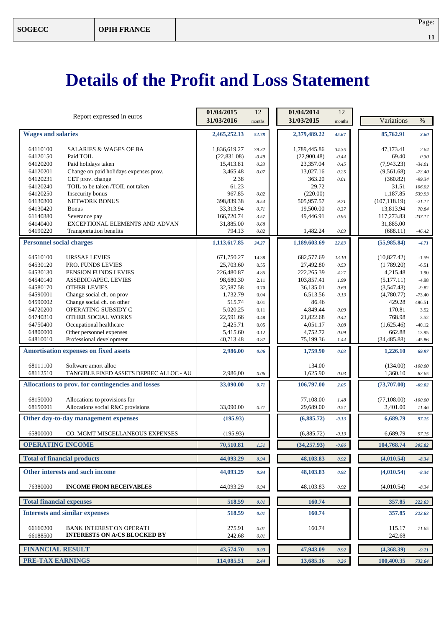# **Details of the Profit and Loss Statement**

|                                                                                         | 01/04/2015      | 12           | 01/04/2014             | 12       |                      |                    |
|-----------------------------------------------------------------------------------------|-----------------|--------------|------------------------|----------|----------------------|--------------------|
| Report expressed in euros                                                               | 31/03/2016      | months       | 31/03/2015             | months   | Variations           | $\%$               |
| <b>Wages and salaries</b>                                                               | 2,465,252.13    | 52.78        | 2,379,489.22           | 45.67    | 85,762.91            | 3.60               |
|                                                                                         |                 |              |                        |          |                      |                    |
| 64110100<br><b>SALARIES &amp; WAGES OF BA</b>                                           | 1,836,619.27    | 39.32        | 1,789,445.86           | 34.35    | 47.173.41            | 2.64               |
| 64120150<br>Paid TOIL                                                                   | (22, 831.08)    | $-0.49$      | (22,900.48)            | $-0.44$  | 69.40                | 0.30               |
| 64120200<br>Paid holidays taken                                                         | 15,413.81       | 0.33         | 23,357.04              | 0.45     | (7,943.23)           | $-34.01$           |
| 64120201<br>Change on paid holidays expenses prov.                                      | 3,465.48        | 0.07         | 13,027.16              | 0.25     | (9,561.68)           | $-73.40$           |
| CET prov. change<br>64120231                                                            | 2.38            |              | 363.20                 | 0.01     | (360.82)             | $-99.34$           |
| TOIL to be taken /TOIL not taken<br>64120240                                            | 61.23<br>967.85 |              | 29.72                  |          | 31.51<br>1.187.85    | 106.02             |
| 64120250<br>Insecurity bonus<br>64130300<br><b>NETWORK BONUS</b>                        | 398,839.38      | 0.02<br>8.54 | (220.00)<br>505,957.57 | 9.71     | (107, 118.19)        | 539.93<br>$-21.17$ |
| 64130420<br><b>Bonus</b>                                                                | 33,313.94       | 0.71         | 19,500.00              | 0.37     | 13,813.94            | 70.84              |
| 61140380<br>Severance pay                                                               | 166,720.74      | 3.57         | 49,446.91              | 0.95     | 117,273.83           | 237.17             |
| EXCEPTIONAL ELEMENTS AND ADVAN<br>64140400                                              | 31,885.00       | 0.68         |                        |          | 31,885.00            |                    |
| 64190220<br>Transportation benefits                                                     | 794.13          | 0.02         | 1,482.24               | 0.03     | (688.11)             | $-46.42$           |
| <b>Personnel social charges</b>                                                         | 1,113,617.85    | 24.27        | 1,189,603.69           | 22.83    | (55,985.84)          | $-4.71$            |
|                                                                                         |                 |              |                        |          |                      |                    |
| 64510100<br><b>URSSAF LEVIES</b>                                                        | 671,750.27      | 14.38        | 682,577.69             | 13.10    | (10, 827.42)         | $-1.59$            |
| 64530120<br>PRO. FUNDS LEVIES                                                           | 25,703.60       | 0.55         | 27,492.80              | 0.53     | (1789.20)            | $-6.51$            |
| 64530130<br>PENSION FUNDS LEVIES                                                        | 226,480.87      | 4.85         | 222,265.39             | 4.27     | 4,215.48             | 1.90               |
| 64540140<br><b>ASSEDIC/APEC. LEVIES</b>                                                 | 98,680.30       | 2.11         | 103,857.41             | 1.99     | (5,177.11)           | $-4.98$            |
| 64580170<br><b>OTHER LEVIES</b>                                                         | 32,587.58       | 0.70         | 36,135.01              | 0.69     | (3,547.43)           | $-9.82$            |
| 64590001<br>Change social ch. on prov                                                   | 1,732.79        | 0.04         | 6,513.56               | 0.13     | (4,780.77)           | $-73.40$           |
| 64590002<br>Change social ch. on other                                                  | 515.74          | 0.01         | 86.46                  |          | 429.28               | 496.51             |
| OPERATING SUBSIDY C<br>64720200                                                         | 5,020.25        | 0.11         | 4,849.44               | 0.09     | 170.81               | 3.52               |
| 64740310<br>OTHER SOCIAL WORKS                                                          | 22,591.66       | 0.48         | 21,822.68              | 0.42     | 768.98               | 3.52               |
| 64750400<br>Occupational healthcare                                                     | 2,425.71        | 0.05         | 4,051.17               | 0.08     | (1,625.46)           | $-40.12$           |
| 64800000<br>Other personnel expenses                                                    | 5,415.60        | 0.12         | 4,752.72               | 0.09     | 662.88               | 13.95              |
| Professional development<br>64810010                                                    | 40,713.48       | 0.87         | 75,199.36              | 1.44     | (34, 485.88)         | $-45.86$           |
| <b>Amortisation expenses on fixed assets</b>                                            | 2,986.00        | 0.06         | 1,759.90               | 0.03     | 1,226.10             | 69.97              |
|                                                                                         |                 |              |                        |          |                      |                    |
| 68111100<br>Software amort alloc<br>68112510<br>TANGIBLE FIXED ASSETS DEPREC ALLOC - AU | 2,986,00        |              | 134.00<br>1,625.90     |          | (134.00)<br>1,360.10 | $-100.00$          |
|                                                                                         |                 | 0.06         |                        | 0.03     |                      | 83.65              |
| Allocations to prov. for contingencies and losses                                       | 33,090.00       | 0.71         | 106,797.00             | 2.05     | (73,707.00)          | $-69.02$           |
| 68150000<br>Allocations to provisions for                                               |                 |              | 77,108.00              | 1.48     | (77, 108.00)         | $-100.00$          |
| Allocations social R&C provisions<br>68150001                                           | 33,090.00       | 0.71         | 29,689.00              | 0.57     | 3,401.00             | 11.46              |
| Other day-to-day management expenses                                                    | (195.93)        |              | (6,885.72)             | $-0.13$  | 6,689.79             | 97.15              |
|                                                                                         |                 |              |                        |          |                      |                    |
| 65800000<br>CO. MGMT MISCELLANEOUS EXPENSES                                             | (195.93)        |              | (6,885.72)             | $-0.13$  | 6,689.79             | 97.15              |
| <b>OPERATING INCOME</b>                                                                 | 70,510.81       | 1.51         | (34, 257, 93)          | $-0.66$  | 104,768.74           | 305.82             |
| <b>Total of financial products</b>                                                      | 44,093.29       | 0.94         | 48,103.83              | 0.92     | (4,010.54)           | $-8.34$            |
| Other interests and such income                                                         | 44,093.29       | 0.94         | 48,103.83              | 0.92     | (4,010.54)           | $-8.34$            |
| 76380000<br><b>INCOME FROM RECEIVABLES</b>                                              | 44,093.29       | 0.94         | 48,103.83              | $0.92\,$ | (4,010.54)           | $-8.34$            |
| <b>Total financial expenses</b>                                                         | 518.59          | 0.01         | 160.74                 |          | 357.85               | 222.63             |
| <b>Interests and similar expenses</b>                                                   | 518.59          | 0.01         | 160.74                 |          | 357.85               | 222.63             |
|                                                                                         |                 |              |                        |          |                      |                    |
| 66160200<br><b>BANK INTEREST ON OPERATI</b><br><b>INTERESTS ON A/CS BLOCKED BY</b>      | 275.91          | 0.01         | 160.74                 |          | 115.17               | 71.65              |
| 66188500                                                                                | 242.68          | 0.01         |                        |          | 242.68               |                    |
| <b>FINANCIAL RESULT</b>                                                                 | 43,574.70       | 0.93         | 47,943.09              | 0.92     | (4,368.39)           | $-9.11$            |
| <b>PRE-TAX EARNINGS</b>                                                                 | 114,085.51      | 2.44         | 13,685.16              | 0.26     | 100,400.35           | 733.64             |
|                                                                                         |                 |              |                        |          |                      |                    |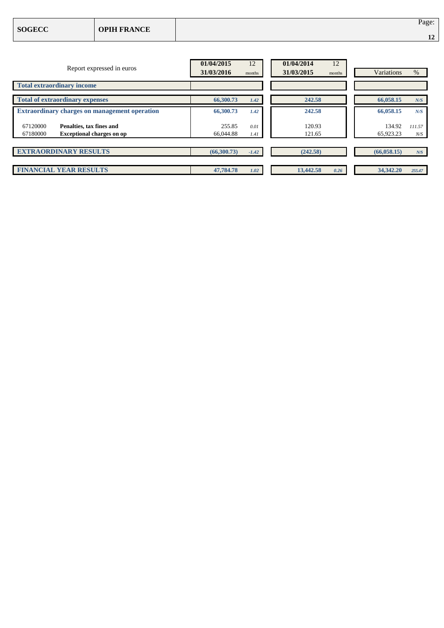| <b>SOGECC</b> | <b>OPIH FRANCE</b> | Page:<br>$\overline{A}$<br>$\mathbf{L}$ |
|---------------|--------------------|-----------------------------------------|
|               |                    |                                         |

| Report expressed in euros                                                            | 01/04/2015<br>31/03/2016 | 12<br>months | 01/04/2014<br>12<br>31/03/2015<br>months | Variations          | %             |
|--------------------------------------------------------------------------------------|--------------------------|--------------|------------------------------------------|---------------------|---------------|
| <b>Total extraordinary income</b>                                                    |                          |              |                                          |                     |               |
| <b>Total of extraordinary expenses</b>                                               | 66,300.73                | 1.42         | 242.58                                   | 66,058.15           | N/S           |
| <b>Extraordinary charges on management operation</b>                                 | 66,300.73                | 1.42         | 242.58                                   | 66,058.15           | N/S           |
| 67120000<br>Penalties, tax fines and<br><b>Exceptional charges on op</b><br>67180000 | 255.85<br>66,044.88      | 0.01<br>1.41 | 120.93<br>121.65                         | 134.92<br>65,923.23 | 111.57<br>N/S |
|                                                                                      |                          |              |                                          |                     |               |
| <b>EXTRAORDINARY RESULTS</b>                                                         | (66,300.73)              | $-1.42$      | (242.58)                                 | (66,058.15)         | N/S           |
| <b>FINANCIAL YEAR RESULTS</b>                                                        | 47,784.78                | 1.02         | 13,442.58<br>0.26                        | 34,342,20           | 255.47        |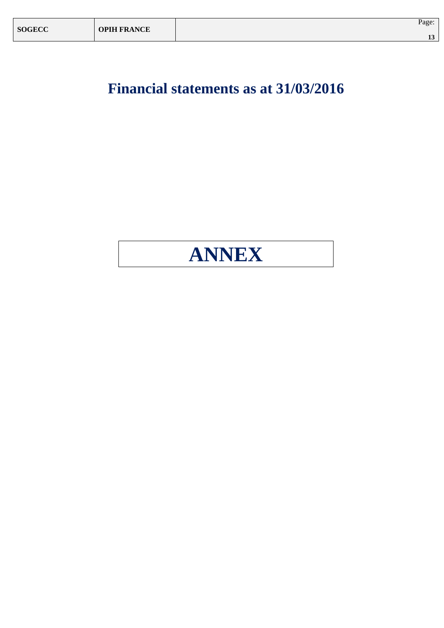**Financial statements as at 31/03/2016**

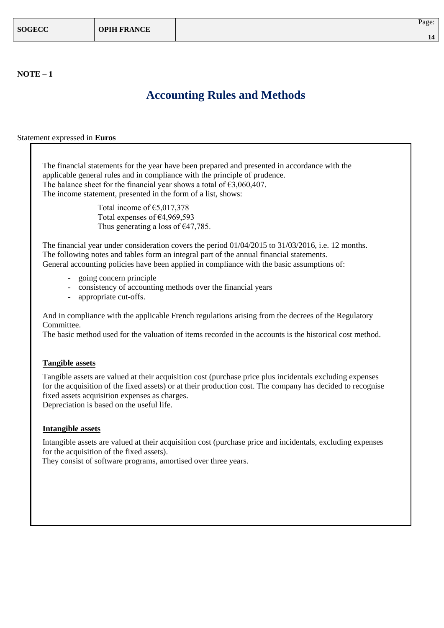### **Accounting Rules and Methods**

Statement expressed in **Euros**

The financial statements for the year have been prepared and presented in accordance with the applicable general rules and in compliance with the principle of prudence. The balance sheet for the financial year shows a total of  $\epsilon$ 3,060,407. The income statement, presented in the form of a list, shows:

> Total income of €5,017,378 Total expenses of €4,969,593 Thus generating a loss of  $\epsilon$ 47,785.

The financial year under consideration covers the period 01/04/2015 to 31/03/2016, i.e. 12 months. The following notes and tables form an integral part of the annual financial statements. General accounting policies have been applied in compliance with the basic assumptions of:

- going concern principle
- consistency of accounting methods over the financial years
- appropriate cut-offs.

And in compliance with the applicable French regulations arising from the decrees of the Regulatory Committee.

The basic method used for the valuation of items recorded in the accounts is the historical cost method.

#### **Tangible assets**

Tangible assets are valued at their acquisition cost (purchase price plus incidentals excluding expenses for the acquisition of the fixed assets) or at their production cost. The company has decided to recognise fixed assets acquisition expenses as charges.

Depreciation is based on the useful life.

#### **Intangible assets**

Intangible assets are valued at their acquisition cost (purchase price and incidentals, excluding expenses for the acquisition of the fixed assets).

They consist of software programs, amortised over three years.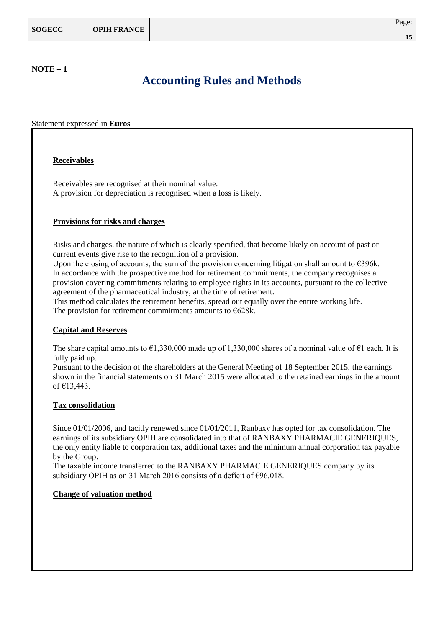#### **NOTE – 1**

### **Accounting Rules and Methods**

Statement expressed in **Euros**

#### **Receivables**

Receivables are recognised at their nominal value. A provision for depreciation is recognised when a loss is likely.

#### **Provisions for risks and charges**

Risks and charges, the nature of which is clearly specified, that become likely on account of past or current events give rise to the recognition of a provision.

Upon the closing of accounts, the sum of the provision concerning litigation shall amount to  $\epsilon$ 396k. In accordance with the prospective method for retirement commitments, the company recognises a provision covering commitments relating to employee rights in its accounts, pursuant to the collective agreement of the pharmaceutical industry, at the time of retirement.

This method calculates the retirement benefits, spread out equally over the entire working life. The provision for retirement commitments amounts to  $E628k$ .

#### **Capital and Reserves**

The share capital amounts to  $\epsilon$ 1,330,000 made up of 1,330,000 shares of a nominal value of  $\epsilon$ 1 each. It is fully paid up.

Pursuant to the decision of the shareholders at the General Meeting of 18 September 2015, the earnings shown in the financial statements on 31 March 2015 were allocated to the retained earnings in the amount of €13,443.

#### **Tax consolidation**

Since 01/01/2006, and tacitly renewed since 01/01/2011, Ranbaxy has opted for tax consolidation. The earnings of its subsidiary OPIH are consolidated into that of RANBAXY PHARMACIE GENERIQUES, the only entity liable to corporation tax, additional taxes and the minimum annual corporation tax payable by the Group.

The taxable income transferred to the RANBAXY PHARMACIE GENERIQUES company by its subsidiary OPIH as on 31 March 2016 consists of a deficit of €96,018.

#### **Change of valuation method**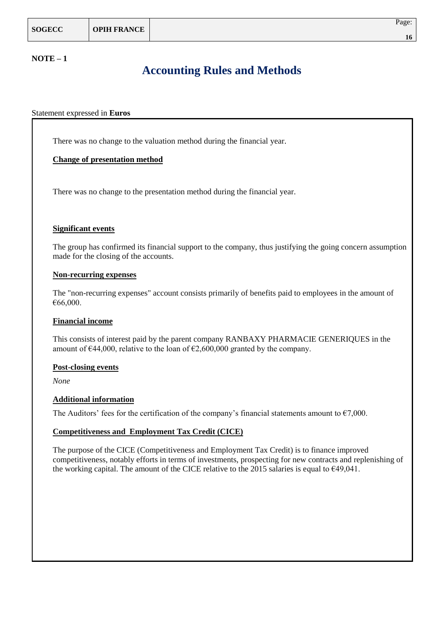#### **NOTE – 1**

### **Accounting Rules and Methods**

#### Statement expressed in **Euros**

There was no change to the valuation method during the financial year.

#### **Change of presentation method**

There was no change to the presentation method during the financial year.

#### **Significant events**

The group has confirmed its financial support to the company, thus justifying the going concern assumption made for the closing of the accounts.

#### **Non-recurring expenses**

The "non-recurring expenses" account consists primarily of benefits paid to employees in the amount of €66,000.

#### **Financial income**

This consists of interest paid by the parent company RANBAXY PHARMACIE GENERIQUES in the amount of  $\epsilon$ 44,000, relative to the loan of  $\epsilon$ 2,600,000 granted by the company.

#### **Post-closing events**

*None*

#### **Additional information**

The Auditors' fees for the certification of the company's financial statements amount to  $\epsilon$ 7,000.

#### **Competitiveness and Employment Tax Credit (CICE)**

The purpose of the CICE (Competitiveness and Employment Tax Credit) is to finance improved competitiveness, notably efforts in terms of investments, prospecting for new contracts and replenishing of the working capital. The amount of the CICE relative to the 2015 salaries is equal to  $\epsilon$ 49,041.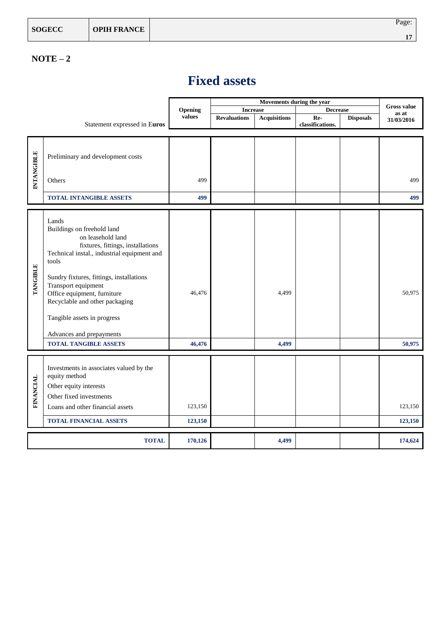### **NOTE – 2**

|                   |                                                      |         | Movements during the year |                     |                  |                  | <b>Gross value</b> |
|-------------------|------------------------------------------------------|---------|---------------------------|---------------------|------------------|------------------|--------------------|
|                   |                                                      | Opening | <b>Increase</b>           |                     | <b>Decrease</b>  |                  | as at              |
|                   |                                                      | values  | <b>Revaluations</b>       | <b>Acquisitions</b> | Re-              | <b>Disposals</b> | 31/03/2016         |
|                   | Statement expressed in Euros                         |         |                           |                     | classifications. |                  |                    |
|                   |                                                      |         |                           |                     |                  |                  |                    |
|                   |                                                      |         |                           |                     |                  |                  |                    |
|                   | Preliminary and development costs                    |         |                           |                     |                  |                  |                    |
| <b>INTANGIBLE</b> |                                                      |         |                           |                     |                  |                  |                    |
|                   |                                                      |         |                           |                     |                  |                  |                    |
|                   | Others                                               | 499     |                           |                     |                  |                  | 499                |
|                   |                                                      |         |                           |                     |                  |                  |                    |
|                   | <b>TOTAL INTANGIBLE ASSETS</b>                       | 499     |                           |                     |                  |                  | 499                |
|                   |                                                      |         |                           |                     |                  |                  |                    |
|                   | Lands                                                |         |                           |                     |                  |                  |                    |
|                   | Buildings on freehold land                           |         |                           |                     |                  |                  |                    |
|                   | on leasehold land                                    |         |                           |                     |                  |                  |                    |
|                   | fixtures, fittings, installations                    |         |                           |                     |                  |                  |                    |
|                   | Technical instal., industrial equipment and<br>tools |         |                           |                     |                  |                  |                    |
|                   |                                                      |         |                           |                     |                  |                  |                    |
| <b>TANGIBLE</b>   | Sundry fixtures, fittings, installations             |         |                           |                     |                  |                  |                    |
|                   | Transport equipment                                  |         |                           |                     |                  |                  |                    |
|                   | Office equipment, furniture                          | 46,476  |                           | 4,499               |                  |                  | 50,975             |
|                   | Recyclable and other packaging                       |         |                           |                     |                  |                  |                    |
|                   |                                                      |         |                           |                     |                  |                  |                    |
|                   | Tangible assets in progress                          |         |                           |                     |                  |                  |                    |
|                   | Advances and prepayments                             |         |                           |                     |                  |                  |                    |
|                   | <b>TOTAL TANGIBLE ASSETS</b>                         | 46,476  |                           | 4,499               |                  |                  | 50,975             |
|                   |                                                      |         |                           |                     |                  |                  |                    |
|                   |                                                      |         |                           |                     |                  |                  |                    |
|                   | Investments in associates valued by the              |         |                           |                     |                  |                  |                    |
|                   | equity method                                        |         |                           |                     |                  |                  |                    |
|                   | Other equity interests                               |         |                           |                     |                  |                  |                    |
| <b>FINANCIAL</b>  | Other fixed investments                              |         |                           |                     |                  |                  |                    |
|                   | Loans and other financial assets                     | 123,150 |                           |                     |                  |                  | 123,150            |
|                   |                                                      |         |                           |                     |                  |                  |                    |
|                   | <b>TOTAL FINANCIAL ASSETS</b>                        | 123,150 |                           |                     |                  |                  | 123,150            |
|                   |                                                      |         |                           |                     |                  |                  |                    |
|                   | <b>TOTAL</b>                                         | 170,126 |                           | 4,499               |                  |                  | 174,624            |

## **Fixed assets**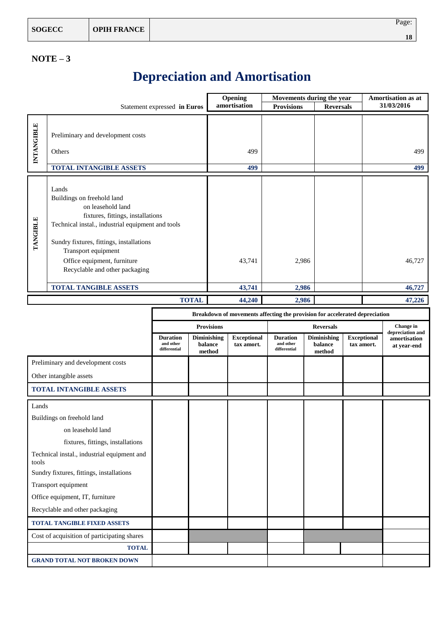### **NOTE – 3**

## **Depreciation and Amortisation**

|                 | Statement expressed in Euros                                                                                                                                                                                                                                                           | Opening<br>amortisation | Movements during the year<br><b>Provisions</b> | <b>Reversals</b> | <b>Amortisation as at</b><br>31/03/2016 |
|-----------------|----------------------------------------------------------------------------------------------------------------------------------------------------------------------------------------------------------------------------------------------------------------------------------------|-------------------------|------------------------------------------------|------------------|-----------------------------------------|
|                 |                                                                                                                                                                                                                                                                                        |                         |                                                |                  |                                         |
| INTANGIBLE      | Preliminary and development costs<br>Others                                                                                                                                                                                                                                            | 499                     |                                                |                  | 499                                     |
|                 | <b>TOTAL INTANGIBLE ASSETS</b>                                                                                                                                                                                                                                                         | 499                     |                                                |                  | 499                                     |
| <b>TANGIBLE</b> | Lands<br>Buildings on freehold land<br>on leasehold land<br>fixtures, fittings, installations<br>Technical instal., industrial equipment and tools<br>Sundry fixtures, fittings, installations<br>Transport equipment<br>Office equipment, furniture<br>Recyclable and other packaging | 43,741                  | 2,986                                          |                  | 46,727                                  |
|                 | <b>TOTAL TANGIBLE ASSETS</b>                                                                                                                                                                                                                                                           | 43,741                  | 2,986                                          |                  | 46,727                                  |
|                 | <b>TOTAL</b>                                                                                                                                                                                                                                                                           | 44,240                  | 2,986                                          |                  | 47,226                                  |

|                                                      | Breakdown of movements affecting the provision for accelerated depreciation |                                  |                                  |                                              |                                         |                                  |                               |
|------------------------------------------------------|-----------------------------------------------------------------------------|----------------------------------|----------------------------------|----------------------------------------------|-----------------------------------------|----------------------------------|-------------------------------|
|                                                      |                                                                             | <b>Provisions</b>                |                                  | <b>Reversals</b>                             |                                         |                                  | Change in<br>depreciation and |
|                                                      | <b>Duration</b><br>and other<br>differential                                | Diminishing<br>balance<br>method | <b>Exceptional</b><br>tax amort. | <b>Duration</b><br>and other<br>differential | <b>Diminishing</b><br>balance<br>method | <b>Exceptional</b><br>tax amort. | amortisation<br>at year-end   |
| Preliminary and development costs                    |                                                                             |                                  |                                  |                                              |                                         |                                  |                               |
| Other intangible assets                              |                                                                             |                                  |                                  |                                              |                                         |                                  |                               |
| <b>TOTAL INTANGIBLE ASSETS</b>                       |                                                                             |                                  |                                  |                                              |                                         |                                  |                               |
| Lands                                                |                                                                             |                                  |                                  |                                              |                                         |                                  |                               |
| Buildings on freehold land                           |                                                                             |                                  |                                  |                                              |                                         |                                  |                               |
| on leasehold land                                    |                                                                             |                                  |                                  |                                              |                                         |                                  |                               |
| fixtures, fittings, installations                    |                                                                             |                                  |                                  |                                              |                                         |                                  |                               |
| Technical instal., industrial equipment and<br>tools |                                                                             |                                  |                                  |                                              |                                         |                                  |                               |
| Sundry fixtures, fittings, installations             |                                                                             |                                  |                                  |                                              |                                         |                                  |                               |
| Transport equipment                                  |                                                                             |                                  |                                  |                                              |                                         |                                  |                               |
| Office equipment, IT, furniture                      |                                                                             |                                  |                                  |                                              |                                         |                                  |                               |
| Recyclable and other packaging                       |                                                                             |                                  |                                  |                                              |                                         |                                  |                               |
| <b>TOTAL TANGIBLE FIXED ASSETS</b>                   |                                                                             |                                  |                                  |                                              |                                         |                                  |                               |
| Cost of acquisition of participating shares          |                                                                             |                                  |                                  |                                              |                                         |                                  |                               |
| <b>TOTAL</b>                                         |                                                                             |                                  |                                  |                                              |                                         |                                  |                               |
| <b>GRAND TOTAL NOT BROKEN DOWN</b>                   |                                                                             |                                  |                                  |                                              |                                         |                                  |                               |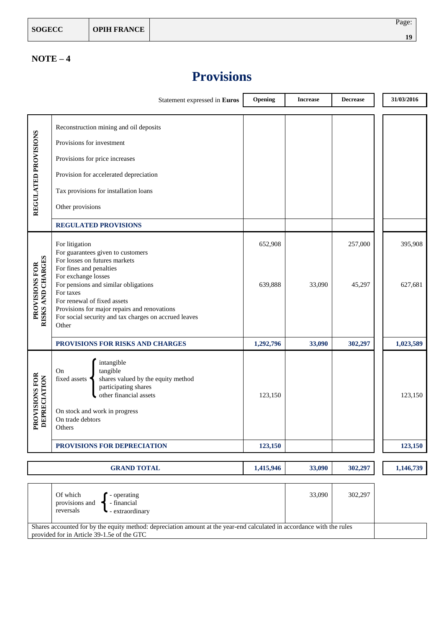### **NOTE – 4**

## **Provisions**

|                                     | Statement expressed in Euros                                                                                                                                                                                                                                                          | Opening   | <b>Increase</b> | <b>Decrease</b> |  | 31/03/2016 |
|-------------------------------------|---------------------------------------------------------------------------------------------------------------------------------------------------------------------------------------------------------------------------------------------------------------------------------------|-----------|-----------------|-----------------|--|------------|
| REGULATED PROVISIONS                | Reconstruction mining and oil deposits<br>Provisions for investment<br>Provisions for price increases<br>Provision for accelerated depreciation<br>Tax provisions for installation loans<br>Other provisions<br><b>REGULATED PROVISIONS</b>                                           |           |                 |                 |  |            |
|                                     | For litigation<br>For guarantees given to customers                                                                                                                                                                                                                                   | 652,908   |                 | 257,000         |  | 395,908    |
| RISKS AND CHARGES<br>PROVISIONS FOR | For losses on futures markets<br>For fines and penalties<br>For exchange losses<br>For pensions and similar obligations<br>For taxes<br>For renewal of fixed assets<br>Provisions for major repairs and renovations<br>For social security and tax charges on accrued leaves<br>Other | 639,888   | 33,090          | 45,297          |  | 627,681    |
|                                     | PROVISIONS FOR RISKS AND CHARGES                                                                                                                                                                                                                                                      | 1,292,796 | 33,090          | 302,297         |  | 1,023,589  |
| ROVISIONS FOR<br>DEPRECIATION<br>A. | intangible<br>tangible<br>On<br>shares valued by the equity method<br>fixed assets<br>participating shares<br>other financial assets<br>On stock and work in progress<br>On trade debtors<br>Others                                                                                   | 123,150   |                 |                 |  | 123,150    |
|                                     | PROVISIONS FOR DEPRECIATION                                                                                                                                                                                                                                                           | 123,150   |                 |                 |  | 123,150    |
|                                     | <b>GRAND TOTAL</b>                                                                                                                                                                                                                                                                    | 1,415,946 | 33,090          | 302,297         |  | 1,146,739  |
|                                     | Of which<br>33,090<br>302,297<br>- operating<br>provisions and<br>- financial<br>reversals<br>- extraordinary                                                                                                                                                                         |           |                 |                 |  |            |
|                                     | Shares accounted for by the equity method: depreciation amount at the year-end calculated in accordance with the rules<br>provided for in Article 39-1.5e of the GTC                                                                                                                  |           |                 |                 |  |            |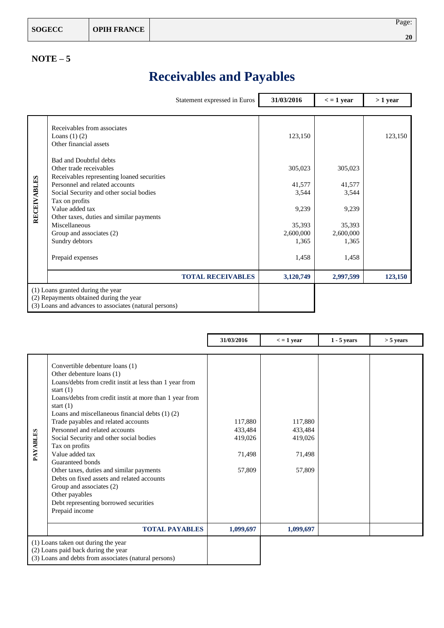| <b>SOGECC</b> | <b>OPIH FRANCE</b> | Page: |
|---------------|--------------------|-------|
|               |                    | 20    |

### **NOTE – 5**

## **Receivables and Payables**

|             |                                                                                                                                                                                                                                                                                                                                                                                                                                       | Statement expressed in Euros | 31/03/2016                                                                              | $\epsilon$ = 1 year                                                          | $>1$ year |
|-------------|---------------------------------------------------------------------------------------------------------------------------------------------------------------------------------------------------------------------------------------------------------------------------------------------------------------------------------------------------------------------------------------------------------------------------------------|------------------------------|-----------------------------------------------------------------------------------------|------------------------------------------------------------------------------|-----------|
| RECEIVABLES | Receivables from associates<br>Loans $(1)$ $(2)$<br>Other financial assets<br><b>Bad and Doubtful debts</b><br>Other trade receivables<br>Receivables representing loaned securities<br>Personnel and related accounts<br>Social Security and other social bodies<br>Tax on profits<br>Value added tax<br>Other taxes, duties and similar payments<br>Miscellaneous<br>Group and associates (2)<br>Sundry debtors<br>Prepaid expenses |                              | 123,150<br>305,023<br>41,577<br>3,544<br>9,239<br>35,393<br>2,600,000<br>1,365<br>1,458 | 305,023<br>41,577<br>3,544<br>9,239<br>35,393<br>2,600,000<br>1,365<br>1,458 | 123,150   |
|             |                                                                                                                                                                                                                                                                                                                                                                                                                                       | <b>TOTAL RECEIVABLES</b>     | 3,120,749                                                                               | 2,997,599                                                                    | 123,150   |
|             | (1) Loans granted during the year<br>(2) Repayments obtained during the year<br>(3) Loans and advances to associates (natural persons)                                                                                                                                                                                                                                                                                                |                              |                                                                                         |                                                                              |           |

|          |                                                                                                                                                                                                                                                                                                                                                                                                                                                                                                                                                                                                                                                         | 31/03/2016                                        | $\epsilon$ = 1 year                               | $1 - 5$ years | $>$ 5 years |
|----------|---------------------------------------------------------------------------------------------------------------------------------------------------------------------------------------------------------------------------------------------------------------------------------------------------------------------------------------------------------------------------------------------------------------------------------------------------------------------------------------------------------------------------------------------------------------------------------------------------------------------------------------------------------|---------------------------------------------------|---------------------------------------------------|---------------|-------------|
| PAYABLES | Convertible debenture loans (1)<br>Other debenture loans (1)<br>Loans/debts from credit instit at less than 1 year from<br>start $(1)$<br>Loans/debts from credit instit at more than 1 year from<br>start $(1)$<br>Loans and miscellaneous financial debts $(1)$ $(2)$<br>Trade payables and related accounts<br>Personnel and related accounts<br>Social Security and other social bodies<br>Tax on profits<br>Value added tax<br>Guaranteed bonds<br>Other taxes, duties and similar payments<br>Debts on fixed assets and related accounts<br>Group and associates (2)<br>Other payables<br>Debt representing borrowed securities<br>Prepaid income | 117,880<br>433,484<br>419,026<br>71,498<br>57,809 | 117,880<br>433,484<br>419,026<br>71,498<br>57,809 |               |             |
|          | <b>TOTAL PAYABLES</b>                                                                                                                                                                                                                                                                                                                                                                                                                                                                                                                                                                                                                                   | 1,099,697                                         | 1,099,697                                         |               |             |
|          | (1) Loans taken out during the year<br>(2) Loans paid back during the year<br>(3) Loans and debts from associates (natural persons)                                                                                                                                                                                                                                                                                                                                                                                                                                                                                                                     |                                                   |                                                   |               |             |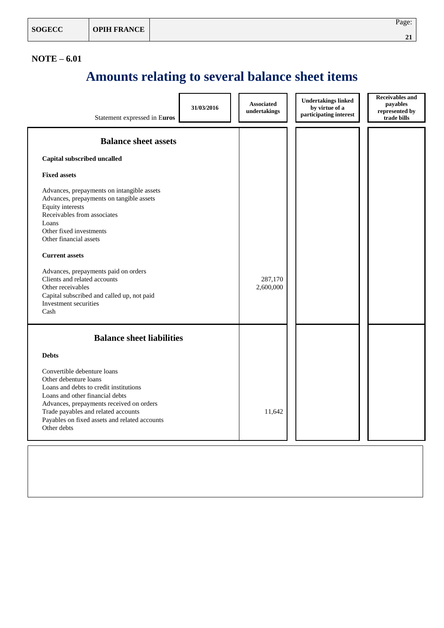| <b>SOGECC</b> | <b>OPIH FRANCE</b> | Page:    |
|---------------|--------------------|----------|
|               |                    | 21<br>-- |

## **Amounts relating to several balance sheet items**

| Statement expressed in Euros                                                                                                                                                                                                                                                                                                                                                                                 | 31/03/2016 | <b>Associated</b><br>undertakings | <b>Undertakings linked</b><br>by virtue of a<br>participating interest | <b>Receivables and</b><br>payables<br>represented by<br>trade bills |
|--------------------------------------------------------------------------------------------------------------------------------------------------------------------------------------------------------------------------------------------------------------------------------------------------------------------------------------------------------------------------------------------------------------|------------|-----------------------------------|------------------------------------------------------------------------|---------------------------------------------------------------------|
| <b>Balance sheet assets</b>                                                                                                                                                                                                                                                                                                                                                                                  |            |                                   |                                                                        |                                                                     |
| Capital subscribed uncalled                                                                                                                                                                                                                                                                                                                                                                                  |            |                                   |                                                                        |                                                                     |
| <b>Fixed assets</b>                                                                                                                                                                                                                                                                                                                                                                                          |            |                                   |                                                                        |                                                                     |
| Advances, prepayments on intangible assets<br>Advances, prepayments on tangible assets<br>Equity interests<br>Receivables from associates<br>Loans<br>Other fixed investments<br>Other financial assets<br><b>Current assets</b><br>Advances, prepayments paid on orders<br>Clients and related accounts<br>Other receivables<br>Capital subscribed and called up, not paid<br>Investment securities<br>Cash |            | 287,170<br>2,600,000              |                                                                        |                                                                     |
| <b>Balance sheet liabilities</b>                                                                                                                                                                                                                                                                                                                                                                             |            |                                   |                                                                        |                                                                     |
| <b>Debts</b>                                                                                                                                                                                                                                                                                                                                                                                                 |            |                                   |                                                                        |                                                                     |
| Convertible debenture loans<br>Other debenture loans<br>Loans and debts to credit institutions<br>Loans and other financial debts<br>Advances, prepayments received on orders<br>Trade payables and related accounts<br>Payables on fixed assets and related accounts<br>Other debts                                                                                                                         |            | 11,642                            |                                                                        |                                                                     |
|                                                                                                                                                                                                                                                                                                                                                                                                              |            |                                   |                                                                        |                                                                     |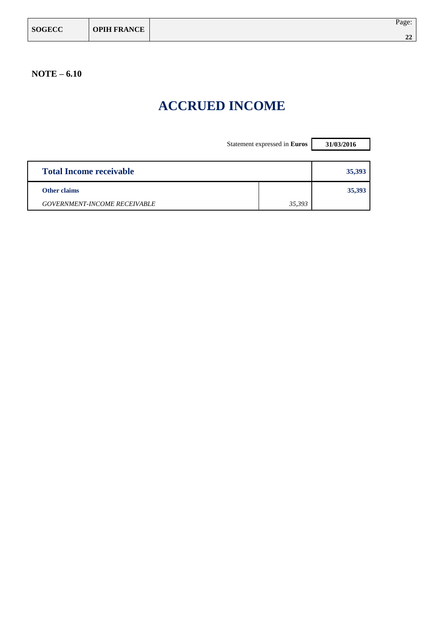| <b>SOGECC</b> | <b>OPIH FRANCE</b> | Page:          |
|---------------|--------------------|----------------|
|               |                    | $\Delta$<br>44 |

## **ACCRUED INCOME**

|                                     | Statement expressed in Euros | 31/03/2016 |
|-------------------------------------|------------------------------|------------|
|                                     |                              |            |
| <b>Total Income receivable</b>      |                              | 35,393     |
| <b>Other claims</b>                 |                              | 35,393     |
| <b>GOVERNMENT-INCOME RECEIVABLE</b> | 35,393                       |            |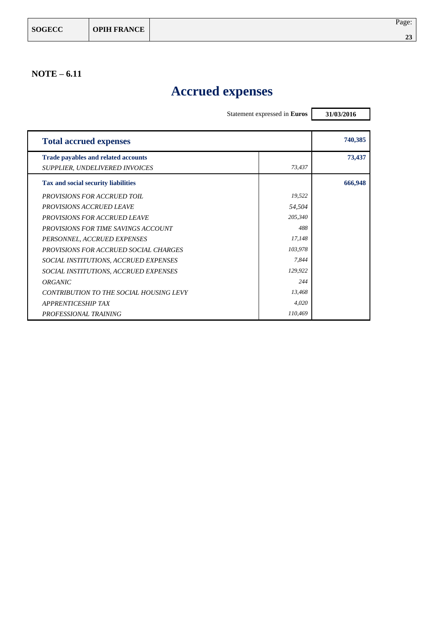## **Accrued expenses**

|                                            | Statement expressed in Euros | 31/03/2016 |
|--------------------------------------------|------------------------------|------------|
|                                            |                              |            |
| <b>Total accrued expenses</b>              |                              | 740,385    |
| <b>Trade payables and related accounts</b> |                              | 73,437     |
| SUPPLIER, UNDELIVERED INVOICES             | 73,437                       |            |
| <b>Tax and social security liabilities</b> |                              | 666,948    |
| <b>PROVISIONS FOR ACCRUED TOIL</b>         | 19,522                       |            |
| <b>PROVISIONS ACCRUED LEAVE</b>            | 54,504                       |            |
| <b>PROVISIONS FOR ACCRUED LEAVE</b>        | 205,340                      |            |
| <b>PROVISIONS FOR TIME SAVINGS ACCOUNT</b> | 488                          |            |
| PERSONNEL, ACCRUED EXPENSES                | 17,148                       |            |
| PROVISIONS FOR ACCRUED SOCIAL CHARGES      | 103,978                      |            |
| SOCIAL INSTITUTIONS, ACCRUED EXPENSES      | 7,844                        |            |
| SOCIAL INSTITUTIONS, ACCRUED EXPENSES      | 129,922                      |            |
| ORGANIC                                    | 244                          |            |
| CONTRIBUTION TO THE SOCIAL HOUSING LEVY    | 13,468                       |            |
| <b>APPRENTICESHIP TAX</b>                  | 4,020                        |            |
| <b>PROFESSIONAL TRAINING</b>               | 110,469                      |            |

٦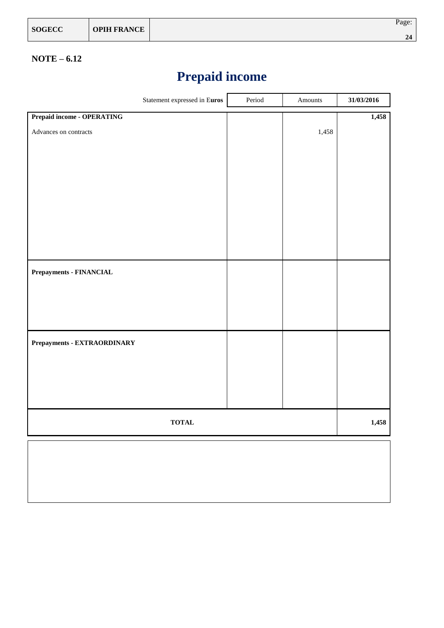| <b>SOGECC</b> | <b>OPIH FRANCE</b> | Page: |
|---------------|--------------------|-------|
|               |                    | σ,    |

## **Prepaid income**

| Statement expressed in Euros      | Period | Amounts | 31/03/2016 |
|-----------------------------------|--------|---------|------------|
| <b>Prepaid income - OPERATING</b> |        |         | 1,458      |
| Advances on contracts             |        | 1,458   |            |
|                                   |        |         |            |
|                                   |        |         |            |
|                                   |        |         |            |
|                                   |        |         |            |
|                                   |        |         |            |
|                                   |        |         |            |
| <b>Prepayments - FINANCIAL</b>    |        |         |            |
|                                   |        |         |            |
|                                   |        |         |            |
|                                   |        |         |            |
| Prepayments - EXTRAORDINARY       |        |         |            |
|                                   |        |         |            |
|                                   |        |         |            |
|                                   |        |         |            |
| <b>TOTAL</b>                      |        |         | 1,458      |
|                                   |        |         |            |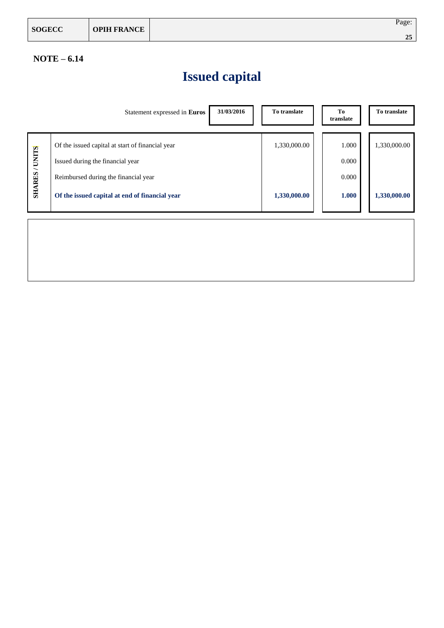| <b>SOGECC</b> | <b>OPIH FRANCE</b> | Page: |
|---------------|--------------------|-------|
|               |                    | 25    |

## **Issued capital**

|                     | Statement expressed in Euros                     | 31/03/2016<br>To translate | To<br>translate | To translate |
|---------------------|--------------------------------------------------|----------------------------|-----------------|--------------|
|                     |                                                  |                            |                 |              |
|                     | Of the issued capital at start of financial year | 1,330,000.00               | 1.000           | 1,330,000.00 |
|                     | Issued during the financial year                 |                            | 0.000           |              |
| <b>SHARES/UNITS</b> | Reimbursed during the financial year             |                            | 0.000           |              |
|                     | Of the issued capital at end of financial year   | 1,330,000.00               | 1.000           | 1,330,000.00 |
|                     |                                                  |                            |                 |              |
|                     |                                                  |                            |                 |              |
|                     |                                                  |                            |                 |              |
|                     |                                                  |                            |                 |              |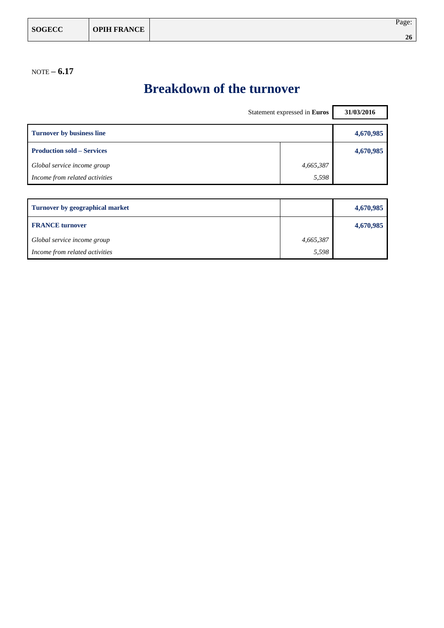## **Breakdown of the turnover**

| Statement expressed in Euros           |           | 31/03/2016 |
|----------------------------------------|-----------|------------|
| Turnover by business line              |           | 4,670,985  |
| <b>Production sold – Services</b>      |           | 4,670,985  |
| Global service income group            | 4,665,387 |            |
| Income from related activities         | 5,598     |            |
|                                        |           |            |
| <b>Turnover by geographical market</b> |           | 4,670,985  |

| <b>FRANCE</b> turnover         |           | 4,670,985 |
|--------------------------------|-----------|-----------|
| Global service income group    | 4,665,387 |           |
| Income from related activities | 5,598     |           |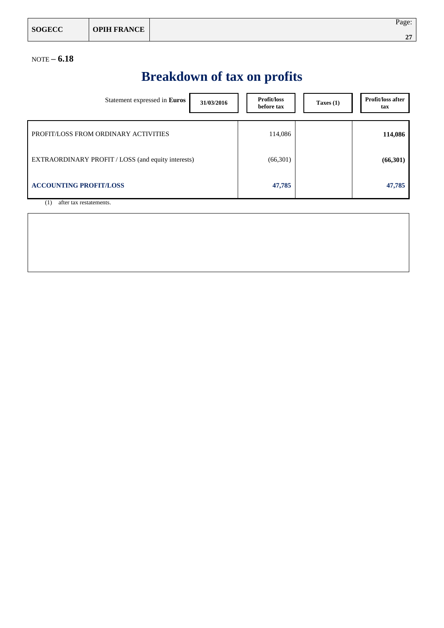| <b>SOGECC</b> | <b>OPIH FRANCE</b> | Page:                     |
|---------------|--------------------|---------------------------|
|               |                    | $\bigwedge$<br>$\epsilon$ |

# **Breakdown of tax on profits**

| Statement expressed in Euros                       | 31/03/2016 |  | Profit/loss<br>before tax | Taxes $(1)$ | Profit/loss after<br>tax |
|----------------------------------------------------|------------|--|---------------------------|-------------|--------------------------|
| PROFIT/LOSS FROM ORDINARY ACTIVITIES               |            |  | 114,086                   |             | 114,086                  |
| EXTRAORDINARY PROFIT / LOSS (and equity interests) |            |  | (66,301)                  |             | (66,301)                 |
| <b>ACCOUNTING PROFIT/LOSS</b>                      |            |  | 47,785                    |             | 47,785                   |
| after tax restatements.<br>$\left(1\right)$        |            |  |                           |             |                          |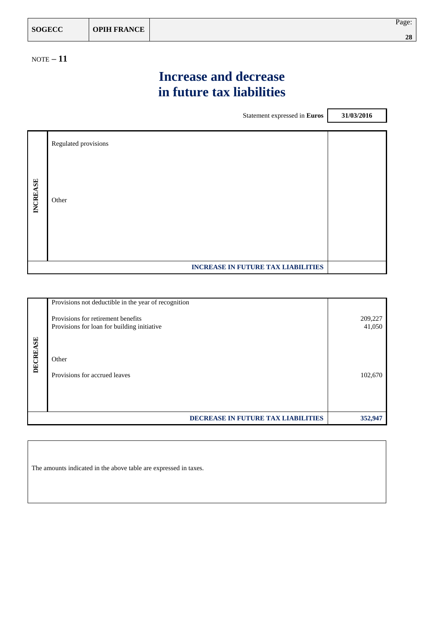| <b>SOGECC</b> | <b>OPIH FRANCE</b> | Page:            |
|---------------|--------------------|------------------|
|               |                    | $\gamma$ c<br>40 |

NOTE **– 11**

## **Increase and decrease in future tax liabilities**

 $\mathbf{r}$ 

|                 |                      | Statement expressed in Euros              | 31/03/2016 |
|-----------------|----------------------|-------------------------------------------|------------|
|                 |                      |                                           |            |
|                 | Regulated provisions |                                           |            |
|                 |                      |                                           |            |
| <b>INCREASE</b> | Other                |                                           |            |
|                 |                      |                                           |            |
|                 |                      | <b>INCREASE IN FUTURE TAX LIABILITIES</b> |            |

|          | Provisions not deductible in the year of recognition                              |                   |
|----------|-----------------------------------------------------------------------------------|-------------------|
|          | Provisions for retirement benefits<br>Provisions for loan for building initiative | 209,227<br>41,050 |
|          |                                                                                   |                   |
| DECREASE | Other                                                                             |                   |
|          | Provisions for accrued leaves                                                     | 102,670           |
|          |                                                                                   |                   |
|          | DECREASE IN FUTURE TAX LIABILITIES                                                | 352,947           |

The amounts indicated in the above table are expressed in taxes.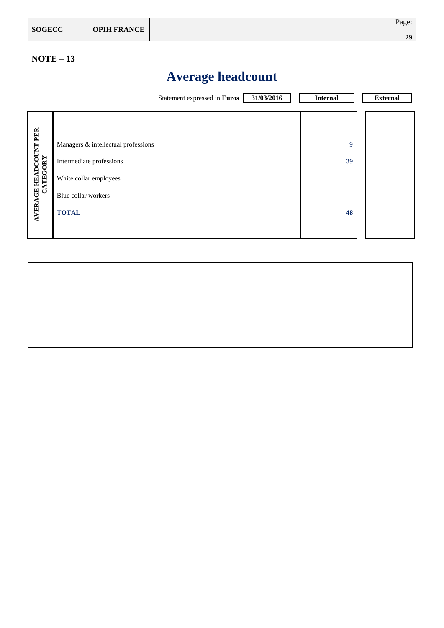| <b>SOGECC</b> | <b>OPIH FRANCE</b> | Page: |
|---------------|--------------------|-------|
|               |                    | 29    |

### **NOTE – 13**

## **Average headcount**

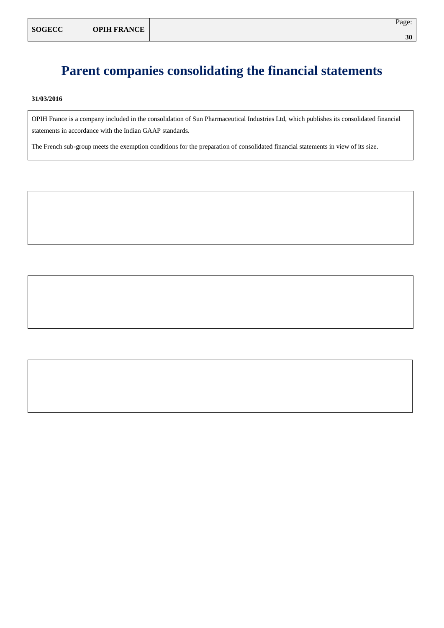### **Parent companies consolidating the financial statements**

**31/03/2016**

OPIH France is a company included in the consolidation of Sun Pharmaceutical Industries Ltd, which publishes its consolidated financial statements in accordance with the Indian GAAP standards.

The French sub-group meets the exemption conditions for the preparation of consolidated financial statements in view of its size.